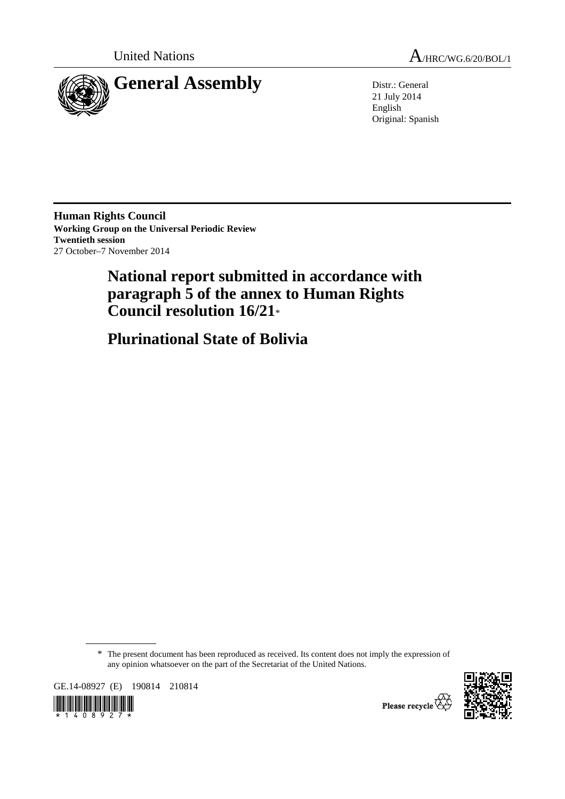



21 July 2014 English Original: Spanish

**Human Rights Council Working Group on the Universal Periodic Review Twentieth session**  27 October–7 November 2014

# **National report submitted in accordance with paragraph 5 of the annex to Human Rights Council resolution 16/21**\*

 **Plurinational State of Bolivia** 

\* The present document has been reproduced as received. Its content does not imply the expression of any opinion whatsoever on the part of the Secretariat of the United Nations.

GE.14-08927 (E) 190814 210814





Please recycle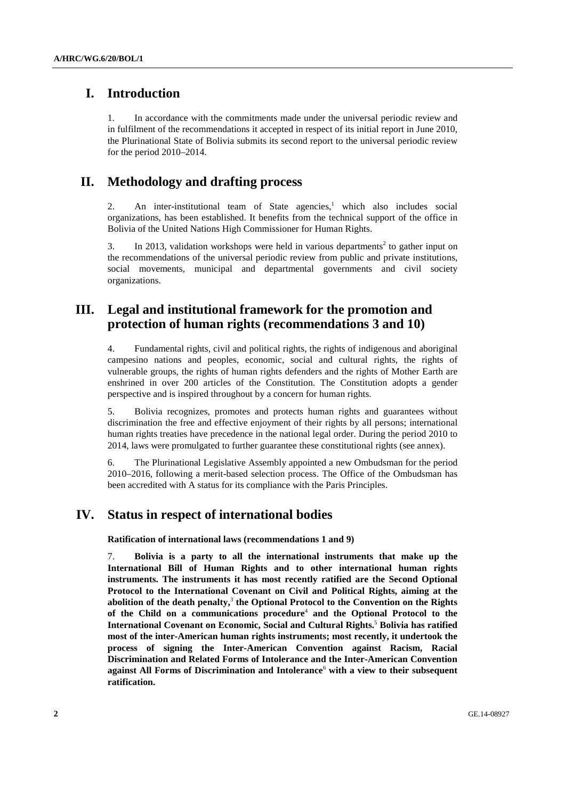## **I. Introduction**

1. In accordance with the commitments made under the universal periodic review and in fulfilment of the recommendations it accepted in respect of its initial report in June 2010, the Plurinational State of Bolivia submits its second report to the universal periodic review for the period 2010–2014.

## **II. Methodology and drafting process**

2. An inter-institutional team of State agencies,<sup>1</sup> which also includes social organizations, has been established. It benefits from the technical support of the office in Bolivia of the United Nations High Commissioner for Human Rights.

3. In 2013, validation workshops were held in various departments<sup>2</sup> to gather input on the recommendations of the universal periodic review from public and private institutions, social movements, municipal and departmental governments and civil society organizations.

## **III. Legal and institutional framework for the promotion and protection of human rights (recommendations 3 and 10)**

4. Fundamental rights, civil and political rights, the rights of indigenous and aboriginal campesino nations and peoples, economic, social and cultural rights, the rights of vulnerable groups, the rights of human rights defenders and the rights of Mother Earth are enshrined in over 200 articles of the Constitution. The Constitution adopts a gender perspective and is inspired throughout by a concern for human rights.

5. Bolivia recognizes, promotes and protects human rights and guarantees without discrimination the free and effective enjoyment of their rights by all persons; international human rights treaties have precedence in the national legal order. During the period 2010 to 2014, laws were promulgated to further guarantee these constitutional rights (see annex).

6. The Plurinational Legislative Assembly appointed a new Ombudsman for the period 2010–2016, following a merit-based selection process. The Office of the Ombudsman has been accredited with A status for its compliance with the Paris Principles.

## **IV. Status in respect of international bodies**

 **Ratification of international laws (recommendations 1 and 9)** 

7. **Bolivia is a party to all the international instruments that make up the International Bill of Human Rights and to other international human rights instruments. The instruments it has most recently ratified are the Second Optional Protocol to the International Covenant on Civil and Political Rights, aiming at the abolition of the death penalty,**<sup>3</sup> **the Optional Protocol to the Convention on the Rights**  of the Child on a communications procedure<sup>4</sup> and the Optional Protocol to the **International Covenant on Economic, Social and Cultural Rights.**<sup>5</sup> **Bolivia has ratified most of the inter-American human rights instruments; most recently, it undertook the process of signing the Inter-American Convention against Racism, Racial Discrimination and Related Forms of Intolerance and the Inter-American Convention**  against All Forms of Discrimination and Intolerance<sup>6</sup> with a view to their subsequent **ratification.**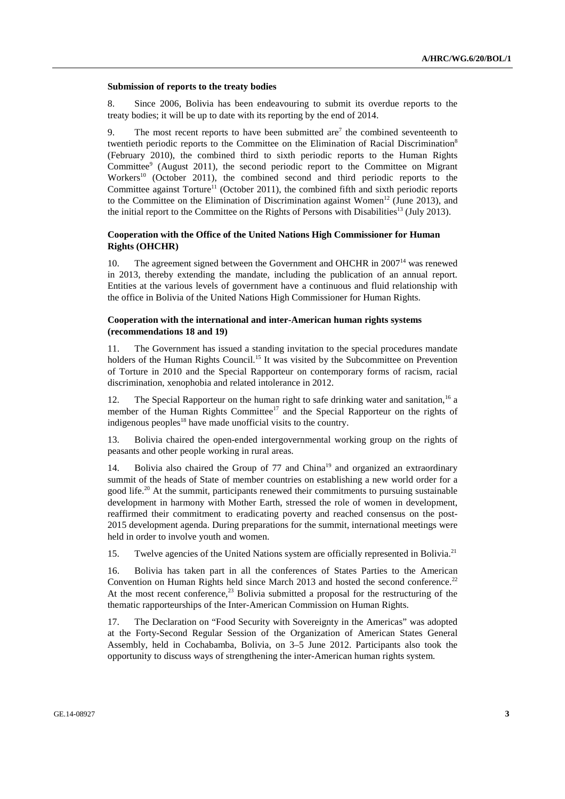#### **Submission of reports to the treaty bodies**

8. Since 2006, Bolivia has been endeavouring to submit its overdue reports to the treaty bodies; it will be up to date with its reporting by the end of 2014.

9. The most recent reports to have been submitted are<sup>7</sup> the combined seventeenth to twentieth periodic reports to the Committee on the Elimination of Racial Discrimination<sup>8</sup> (February 2010), the combined third to sixth periodic reports to the Human Rights Committee<sup>9</sup> (August 2011), the second periodic report to the Committee on Migrant Workers<sup>10</sup> (October 2011), the combined second and third periodic reports to the Committee against  $Toture<sup>11</sup>$  (October 2011), the combined fifth and sixth periodic reports to the Committee on the Elimination of Discrimination against Women<sup>12</sup> (June 2013), and the initial report to the Committee on the Rights of Persons with Disabilities<sup>13</sup> (July 2013).

#### **Cooperation with the Office of the United Nations High Commissioner for Human Rights (OHCHR)**

10. The agreement signed between the Government and OHCHR in 2007<sup>14</sup> was renewed in 2013, thereby extending the mandate, including the publication of an annual report. Entities at the various levels of government have a continuous and fluid relationship with the office in Bolivia of the United Nations High Commissioner for Human Rights.

#### **Cooperation with the international and inter-American human rights systems (recommendations 18 and 19)**

11. The Government has issued a standing invitation to the special procedures mandate holders of the Human Rights Council.<sup>15</sup> It was visited by the Subcommittee on Prevention of Torture in 2010 and the Special Rapporteur on contemporary forms of racism, racial discrimination, xenophobia and related intolerance in 2012.

12. The Special Rapporteur on the human right to safe drinking water and sanitation,<sup>16</sup> a member of the Human Rights Committee<sup>17</sup> and the Special Rapporteur on the rights of indigenous peoples<sup>18</sup> have made unofficial visits to the country.

13. Bolivia chaired the open-ended intergovernmental working group on the rights of peasants and other people working in rural areas.

14. Bolivia also chaired the Group of 77 and China<sup>19</sup> and organized an extraordinary summit of the heads of State of member countries on establishing a new world order for a good life.<sup>20</sup> At the summit, participants renewed their commitments to pursuing sustainable development in harmony with Mother Earth, stressed the role of women in development, reaffirmed their commitment to eradicating poverty and reached consensus on the post-2015 development agenda. During preparations for the summit, international meetings were held in order to involve youth and women.

15. Twelve agencies of the United Nations system are officially represented in Bolivia.<sup>21</sup>

16. Bolivia has taken part in all the conferences of States Parties to the American Convention on Human Rights held since March 2013 and hosted the second conference.<sup>22</sup> At the most recent conference, $^{23}$  Bolivia submitted a proposal for the restructuring of the thematic rapporteurships of the Inter-American Commission on Human Rights.

17. The Declaration on "Food Security with Sovereignty in the Americas" was adopted at the Forty-Second Regular Session of the Organization of American States General Assembly, held in Cochabamba, Bolivia, on 3–5 June 2012. Participants also took the opportunity to discuss ways of strengthening the inter-American human rights system.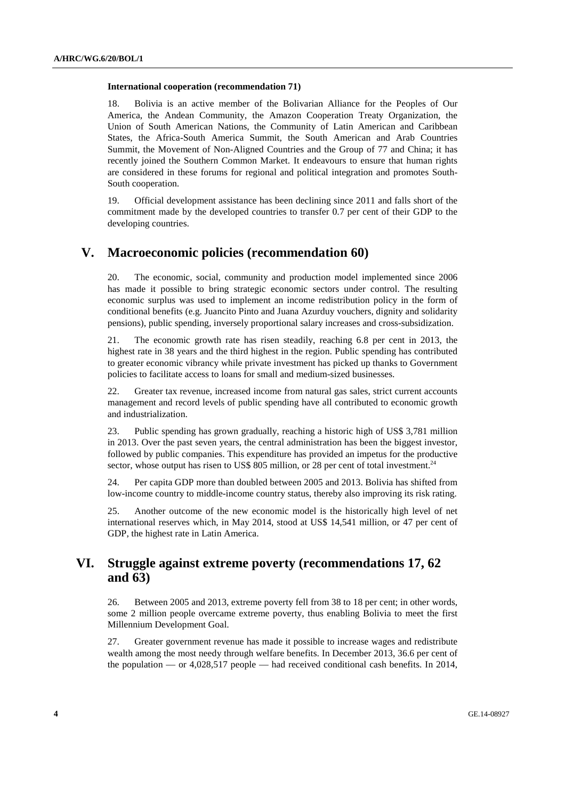#### **International cooperation (recommendation 71)**

18. Bolivia is an active member of the Bolivarian Alliance for the Peoples of Our America, the Andean Community, the Amazon Cooperation Treaty Organization, the Union of South American Nations, the Community of Latin American and Caribbean States, the Africa-South America Summit, the South American and Arab Countries Summit, the Movement of Non-Aligned Countries and the Group of 77 and China; it has recently joined the Southern Common Market. It endeavours to ensure that human rights are considered in these forums for regional and political integration and promotes South-South cooperation.

19. Official development assistance has been declining since 2011 and falls short of the commitment made by the developed countries to transfer 0.7 per cent of their GDP to the developing countries.

### **V. Macroeconomic policies (recommendation 60)**

20. The economic, social, community and production model implemented since 2006 has made it possible to bring strategic economic sectors under control. The resulting economic surplus was used to implement an income redistribution policy in the form of conditional benefits (e.g. Juancito Pinto and Juana Azurduy vouchers, dignity and solidarity pensions), public spending, inversely proportional salary increases and cross-subsidization.

21. The economic growth rate has risen steadily, reaching 6.8 per cent in 2013, the highest rate in 38 years and the third highest in the region. Public spending has contributed to greater economic vibrancy while private investment has picked up thanks to Government policies to facilitate access to loans for small and medium-sized businesses.

22. Greater tax revenue, increased income from natural gas sales, strict current accounts management and record levels of public spending have all contributed to economic growth and industrialization.

23. Public spending has grown gradually, reaching a historic high of US\$ 3,781 million in 2013. Over the past seven years, the central administration has been the biggest investor, followed by public companies. This expenditure has provided an impetus for the productive sector, whose output has risen to US\$ 805 million, or 28 per cent of total investment.<sup>24</sup>

24. Per capita GDP more than doubled between 2005 and 2013. Bolivia has shifted from low-income country to middle-income country status, thereby also improving its risk rating.

25. Another outcome of the new economic model is the historically high level of net international reserves which, in May 2014, stood at US\$ 14,541 million, or 47 per cent of GDP, the highest rate in Latin America.

## **VI. Struggle against extreme poverty (recommendations 17, 62 and 63)**

26. Between 2005 and 2013, extreme poverty fell from 38 to 18 per cent; in other words, some 2 million people overcame extreme poverty, thus enabling Bolivia to meet the first Millennium Development Goal.

27. Greater government revenue has made it possible to increase wages and redistribute wealth among the most needy through welfare benefits. In December 2013, 36.6 per cent of the population — or 4,028,517 people — had received conditional cash benefits. In 2014,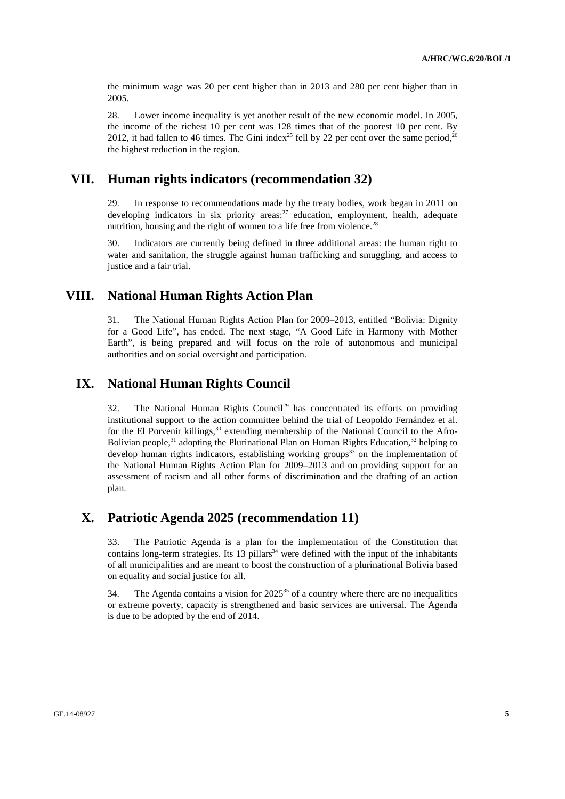the minimum wage was 20 per cent higher than in 2013 and 280 per cent higher than in 2005.

28. Lower income inequality is yet another result of the new economic model. In 2005, the income of the richest 10 per cent was 128 times that of the poorest 10 per cent. By 2012, it had fallen to 46 times. The Gini index<sup>25</sup> fell by 22 per cent over the same period,<sup>26</sup> the highest reduction in the region.

### **VII. Human rights indicators (recommendation 32)**

29. In response to recommendations made by the treaty bodies, work began in 2011 on developing indicators in six priority areas:<sup>27</sup> education, employment, health, adequate nutrition, housing and the right of women to a life free from violence.<sup>28</sup>

30. Indicators are currently being defined in three additional areas: the human right to water and sanitation, the struggle against human trafficking and smuggling, and access to justice and a fair trial.

### **VIII. National Human Rights Action Plan**

31. The National Human Rights Action Plan for 2009–2013, entitled "Bolivia: Dignity for a Good Life", has ended. The next stage, "A Good Life in Harmony with Mother Earth", is being prepared and will focus on the role of autonomous and municipal authorities and on social oversight and participation.

## **IX. National Human Rights Council**

32. The National Human Rights Council<sup>29</sup> has concentrated its efforts on providing institutional support to the action committee behind the trial of Leopoldo Fernández et al. for the El Porvenir killings,  $30$  extending membership of the National Council to the Afro-Bolivian people,<sup>31</sup> adopting the Plurinational Plan on Human Rights Education,<sup>32</sup> helping to develop human rights indicators, establishing working groups $33$  on the implementation of the National Human Rights Action Plan for 2009–2013 and on providing support for an assessment of racism and all other forms of discrimination and the drafting of an action plan.

## **X. Patriotic Agenda 2025 (recommendation 11)**

33. The Patriotic Agenda is a plan for the implementation of the Constitution that contains long-term strategies. Its  $13$  pillars<sup>34</sup> were defined with the input of the inhabitants of all municipalities and are meant to boost the construction of a plurinational Bolivia based on equality and social justice for all.

34. The Agenda contains a vision for  $2025^{35}$  of a country where there are no inequalities or extreme poverty, capacity is strengthened and basic services are universal. The Agenda is due to be adopted by the end of 2014.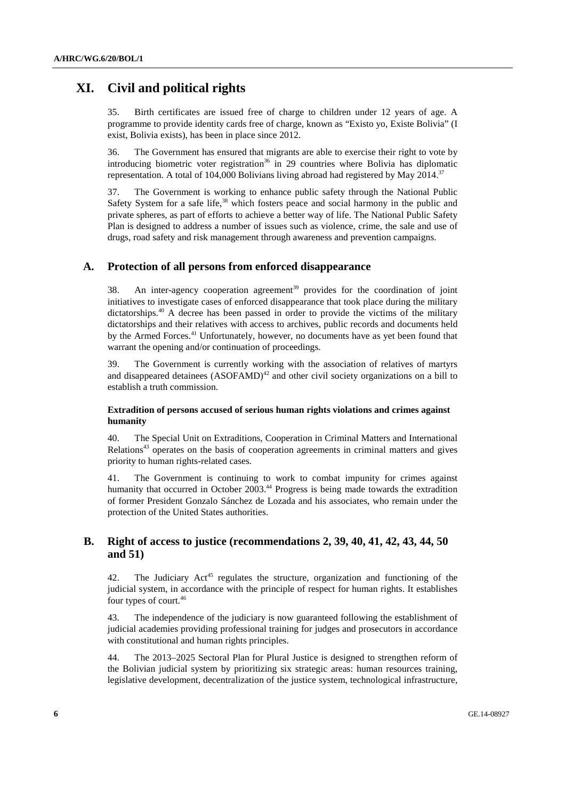## **XI. Civil and political rights**

35. Birth certificates are issued free of charge to children under 12 years of age. A programme to provide identity cards free of charge, known as "Existo yo, Existe Bolivia" (I exist, Bolivia exists), has been in place since 2012.

36. The Government has ensured that migrants are able to exercise their right to vote by introducing biometric voter registration<sup>36</sup> in 29 countries where Bolivia has diplomatic representation. A total of 104,000 Bolivians living abroad had registered by May 2014.<sup>37</sup>

37. The Government is working to enhance public safety through the National Public Safety System for a safe life,<sup>38</sup> which fosters peace and social harmony in the public and private spheres, as part of efforts to achieve a better way of life. The National Public Safety Plan is designed to address a number of issues such as violence, crime, the sale and use of drugs, road safety and risk management through awareness and prevention campaigns.

#### **A. Protection of all persons from enforced disappearance**

38. An inter-agency cooperation agreement<sup>39</sup> provides for the coordination of joint initiatives to investigate cases of enforced disappearance that took place during the military dictatorships.<sup>40</sup> A decree has been passed in order to provide the victims of the military dictatorships and their relatives with access to archives, public records and documents held by the Armed Forces.<sup>41</sup> Unfortunately, however, no documents have as yet been found that warrant the opening and/or continuation of proceedings.

39. The Government is currently working with the association of relatives of martyrs and disappeared detainees  $(ASOFAMD)^{42}$  and other civil society organizations on a bill to establish a truth commission.

#### **Extradition of persons accused of serious human rights violations and crimes against humanity**

40. The Special Unit on Extraditions, Cooperation in Criminal Matters and International  $\text{Relationships}^{43}$  operates on the basis of cooperation agreements in criminal matters and gives priority to human rights-related cases.

41. The Government is continuing to work to combat impunity for crimes against humanity that occurred in October 2003.<sup>44</sup> Progress is being made towards the extradition of former President Gonzalo Sánchez de Lozada and his associates, who remain under the protection of the United States authorities.

### **B. Right of access to justice (recommendations 2, 39, 40, 41, 42, 43, 44, 50 and 51)**

42. The Judiciary  $Act^{45}$  regulates the structure, organization and functioning of the judicial system, in accordance with the principle of respect for human rights. It establishes four types of court.<sup>46</sup>

43. The independence of the judiciary is now guaranteed following the establishment of judicial academies providing professional training for judges and prosecutors in accordance with constitutional and human rights principles.

44. The 2013–2025 Sectoral Plan for Plural Justice is designed to strengthen reform of the Bolivian judicial system by prioritizing six strategic areas: human resources training, legislative development, decentralization of the justice system, technological infrastructure,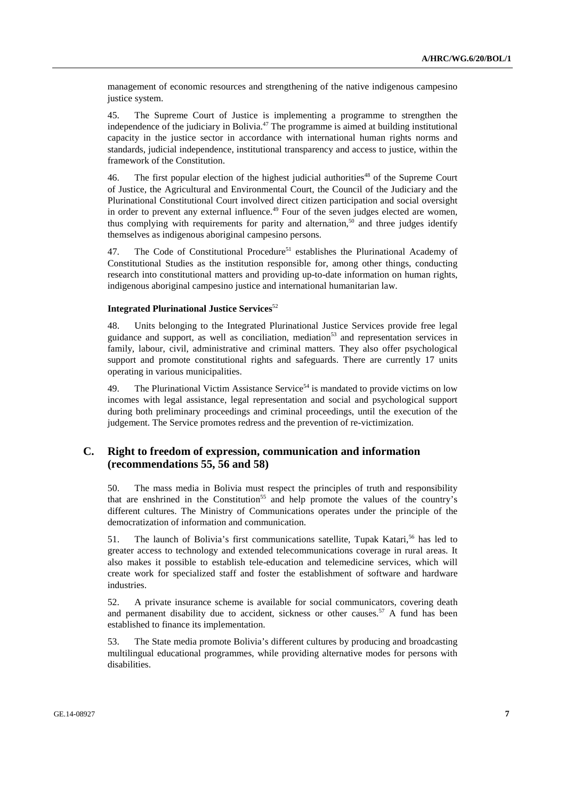management of economic resources and strengthening of the native indigenous campesino justice system.

45. The Supreme Court of Justice is implementing a programme to strengthen the independence of the judiciary in Bolivia.<sup>47</sup> The programme is aimed at building institutional capacity in the justice sector in accordance with international human rights norms and standards, judicial independence, institutional transparency and access to justice, within the framework of the Constitution.

46. The first popular election of the highest judicial authorities<sup>48</sup> of the Supreme Court of Justice, the Agricultural and Environmental Court, the Council of the Judiciary and the Plurinational Constitutional Court involved direct citizen participation and social oversight in order to prevent any external influence. $49$  Four of the seven judges elected are women, thus complying with requirements for parity and alternation,<sup>50</sup> and three judges identify themselves as indigenous aboriginal campesino persons.

47. The Code of Constitutional Procedure<sup>51</sup> establishes the Plurinational Academy of Constitutional Studies as the institution responsible for, among other things, conducting research into constitutional matters and providing up-to-date information on human rights, indigenous aboriginal campesino justice and international humanitarian law.

#### **Integrated Plurinational Justice Services**<sup>52</sup>

48. Units belonging to the Integrated Plurinational Justice Services provide free legal guidance and support, as well as conciliation, mediation $5<sup>3</sup>$  and representation services in family, labour, civil, administrative and criminal matters. They also offer psychological support and promote constitutional rights and safeguards. There are currently 17 units operating in various municipalities.

49. The Plurinational Victim Assistance Service<sup>54</sup> is mandated to provide victims on low incomes with legal assistance, legal representation and social and psychological support during both preliminary proceedings and criminal proceedings, until the execution of the judgement. The Service promotes redress and the prevention of re-victimization.

### **C. Right to freedom of expression, communication and information (recommendations 55, 56 and 58)**

50. The mass media in Bolivia must respect the principles of truth and responsibility that are enshrined in the Constitution<sup>55</sup> and help promote the values of the country's different cultures. The Ministry of Communications operates under the principle of the democratization of information and communication.

51. The launch of Bolivia's first communications satellite, Tupak Katari,<sup>56</sup> has led to greater access to technology and extended telecommunications coverage in rural areas. It also makes it possible to establish tele-education and telemedicine services, which will create work for specialized staff and foster the establishment of software and hardware industries.

52. A private insurance scheme is available for social communicators, covering death and permanent disability due to accident, sickness or other causes.<sup>57</sup> A fund has been established to finance its implementation.

53. The State media promote Bolivia's different cultures by producing and broadcasting multilingual educational programmes, while providing alternative modes for persons with disabilities.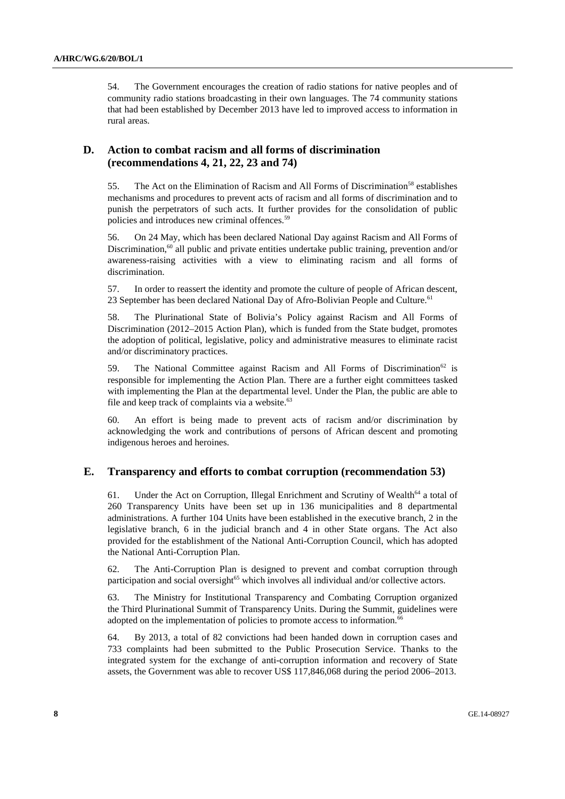54. The Government encourages the creation of radio stations for native peoples and of community radio stations broadcasting in their own languages. The 74 community stations that had been established by December 2013 have led to improved access to information in rural areas.

### **D. Action to combat racism and all forms of discrimination (recommendations 4, 21, 22, 23 and 74)**

55. The Act on the Elimination of Racism and All Forms of Discrimination<sup>58</sup> establishes mechanisms and procedures to prevent acts of racism and all forms of discrimination and to punish the perpetrators of such acts. It further provides for the consolidation of public policies and introduces new criminal offences.59

56. On 24 May, which has been declared National Day against Racism and All Forms of Discrimination, $60$  all public and private entities undertake public training, prevention and/or awareness-raising activities with a view to eliminating racism and all forms of discrimination.

57. In order to reassert the identity and promote the culture of people of African descent, 23 September has been declared National Day of Afro-Bolivian People and Culture.<sup>61</sup>

58. The Plurinational State of Bolivia's Policy against Racism and All Forms of Discrimination (2012–2015 Action Plan), which is funded from the State budget, promotes the adoption of political, legislative, policy and administrative measures to eliminate racist and/or discriminatory practices.

59. The National Committee against Racism and All Forms of Discrimination<sup>62</sup> is responsible for implementing the Action Plan. There are a further eight committees tasked with implementing the Plan at the departmental level. Under the Plan, the public are able to file and keep track of complaints via a website. $63$ 

60. An effort is being made to prevent acts of racism and/or discrimination by acknowledging the work and contributions of persons of African descent and promoting indigenous heroes and heroines.

### **E. Transparency and efforts to combat corruption (recommendation 53)**

61. Under the Act on Corruption, Illegal Enrichment and Scrutiny of Wealth<sup>64</sup> a total of 260 Transparency Units have been set up in 136 municipalities and 8 departmental administrations. A further 104 Units have been established in the executive branch, 2 in the legislative branch, 6 in the judicial branch and 4 in other State organs. The Act also provided for the establishment of the National Anti-Corruption Council, which has adopted the National Anti-Corruption Plan.

62. The Anti-Corruption Plan is designed to prevent and combat corruption through participation and social oversight $65$  which involves all individual and/or collective actors.

63. The Ministry for Institutional Transparency and Combating Corruption organized the Third Plurinational Summit of Transparency Units. During the Summit, guidelines were adopted on the implementation of policies to promote access to information.<sup>66</sup>

64. By 2013, a total of 82 convictions had been handed down in corruption cases and 733 complaints had been submitted to the Public Prosecution Service. Thanks to the integrated system for the exchange of anti-corruption information and recovery of State assets, the Government was able to recover US\$ 117,846,068 during the period 2006–2013.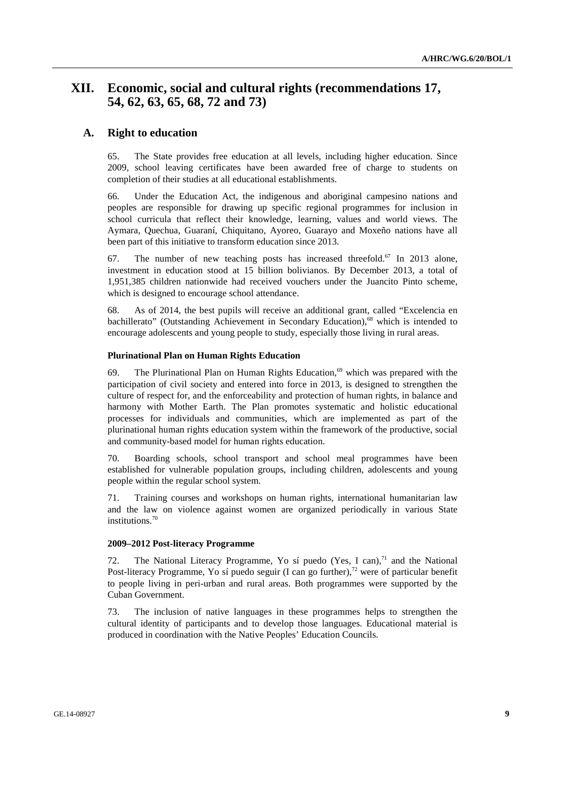## **XII. Economic, social and cultural rights (recommendations 17, 54, 62, 63, 65, 68, 72 and 73)**

#### **A. Right to education**

65. The State provides free education at all levels, including higher education. Since 2009, school leaving certificates have been awarded free of charge to students on completion of their studies at all educational establishments.

66. Under the Education Act, the indigenous and aboriginal campesino nations and peoples are responsible for drawing up specific regional programmes for inclusion in school curricula that reflect their knowledge, learning, values and world views. The Aymara, Quechua, Guaraní, Chiquitano, Ayoreo, Guarayo and Moxeño nations have all been part of this initiative to transform education since 2013.

67. The number of new teaching posts has increased threefold.<sup>67</sup> In 2013 alone, investment in education stood at 15 billion bolivianos. By December 2013, a total of 1,951,385 children nationwide had received vouchers under the Juancito Pinto scheme, which is designed to encourage school attendance.

68. As of 2014, the best pupils will receive an additional grant, called "Excelencia en bachillerato" (Outstanding Achievement in Secondary Education),<sup>68</sup> which is intended to encourage adolescents and young people to study, especially those living in rural areas.

#### **Plurinational Plan on Human Rights Education**

69. The Plurinational Plan on Human Rights Education.<sup>69</sup> which was prepared with the participation of civil society and entered into force in 2013, is designed to strengthen the culture of respect for, and the enforceability and protection of human rights, in balance and harmony with Mother Earth. The Plan promotes systematic and holistic educational processes for individuals and communities, which are implemented as part of the plurinational human rights education system within the framework of the productive, social and community-based model for human rights education.

70. Boarding schools, school transport and school meal programmes have been established for vulnerable population groups, including children, adolescents and young people within the regular school system.

71. Training courses and workshops on human rights, international humanitarian law and the law on violence against women are organized periodically in various State institutions.70

#### **2009–2012 Post-literacy Programme**

72. The National Literacy Programme, Yo sí puedo (Yes, I can), $71$  and the National Post-literacy Programme, Yo sí puedo seguir (I can go further),<sup>72</sup> were of particular benefit to people living in peri-urban and rural areas. Both programmes were supported by the Cuban Government.

73. The inclusion of native languages in these programmes helps to strengthen the cultural identity of participants and to develop those languages. Educational material is produced in coordination with the Native Peoples' Education Councils.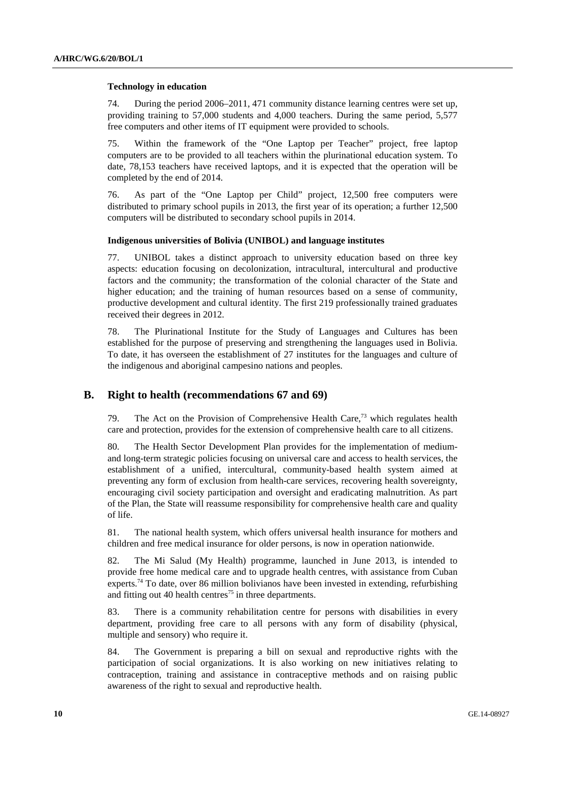#### **Technology in education**

74. During the period 2006–2011, 471 community distance learning centres were set up, providing training to 57,000 students and 4,000 teachers. During the same period, 5,577 free computers and other items of IT equipment were provided to schools.

75. Within the framework of the "One Laptop per Teacher" project, free laptop computers are to be provided to all teachers within the plurinational education system. To date, 78,153 teachers have received laptops, and it is expected that the operation will be completed by the end of 2014.

76. As part of the "One Laptop per Child" project, 12,500 free computers were distributed to primary school pupils in 2013, the first year of its operation; a further 12,500 computers will be distributed to secondary school pupils in 2014.

#### **Indigenous universities of Bolivia (UNIBOL) and language institutes**

77. UNIBOL takes a distinct approach to university education based on three key aspects: education focusing on decolonization, intracultural, intercultural and productive factors and the community; the transformation of the colonial character of the State and higher education; and the training of human resources based on a sense of community, productive development and cultural identity. The first 219 professionally trained graduates received their degrees in 2012.

78. The Plurinational Institute for the Study of Languages and Cultures has been established for the purpose of preserving and strengthening the languages used in Bolivia. To date, it has overseen the establishment of 27 institutes for the languages and culture of the indigenous and aboriginal campesino nations and peoples.

#### **B. Right to health (recommendations 67 and 69)**

79. The Act on the Provision of Comprehensive Health Care,<sup>73</sup> which regulates health care and protection, provides for the extension of comprehensive health care to all citizens.

80. The Health Sector Development Plan provides for the implementation of mediumand long-term strategic policies focusing on universal care and access to health services, the establishment of a unified, intercultural, community-based health system aimed at preventing any form of exclusion from health-care services, recovering health sovereignty, encouraging civil society participation and oversight and eradicating malnutrition. As part of the Plan, the State will reassume responsibility for comprehensive health care and quality of life.

81. The national health system, which offers universal health insurance for mothers and children and free medical insurance for older persons, is now in operation nationwide.

82. The Mi Salud (My Health) programme, launched in June 2013, is intended to provide free home medical care and to upgrade health centres, with assistance from Cuban experts.<sup>74</sup> To date, over 86 million bolivianos have been invested in extending, refurbishing and fitting out 40 health centres<sup> $75$ </sup> in three departments.

83. There is a community rehabilitation centre for persons with disabilities in every department, providing free care to all persons with any form of disability (physical, multiple and sensory) who require it.

84. The Government is preparing a bill on sexual and reproductive rights with the participation of social organizations. It is also working on new initiatives relating to contraception, training and assistance in contraceptive methods and on raising public awareness of the right to sexual and reproductive health.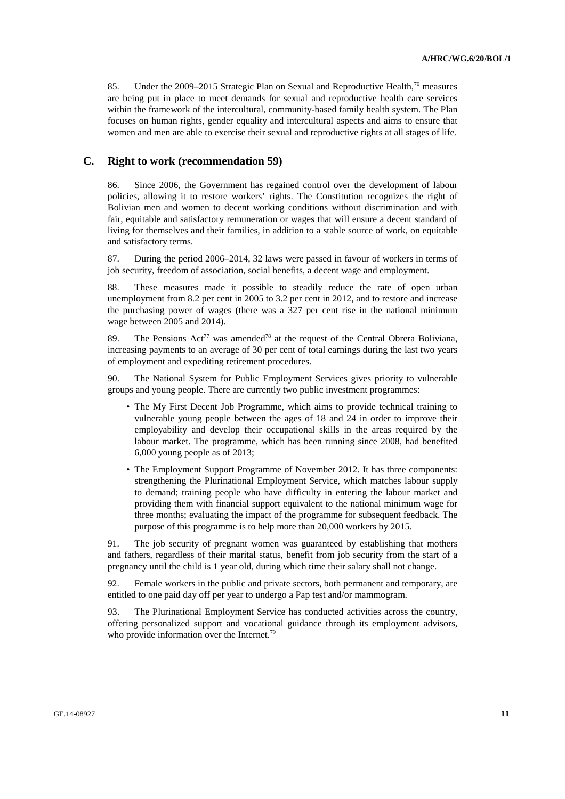85. Under the 2009–2015 Strategic Plan on Sexual and Reproductive Health,<sup>76</sup> measures are being put in place to meet demands for sexual and reproductive health care services within the framework of the intercultural, community-based family health system. The Plan focuses on human rights, gender equality and intercultural aspects and aims to ensure that women and men are able to exercise their sexual and reproductive rights at all stages of life.

### **C. Right to work (recommendation 59)**

86. Since 2006, the Government has regained control over the development of labour policies, allowing it to restore workers' rights. The Constitution recognizes the right of Bolivian men and women to decent working conditions without discrimination and with fair, equitable and satisfactory remuneration or wages that will ensure a decent standard of living for themselves and their families, in addition to a stable source of work, on equitable and satisfactory terms.

87. During the period 2006–2014, 32 laws were passed in favour of workers in terms of job security, freedom of association, social benefits, a decent wage and employment.

88. These measures made it possible to steadily reduce the rate of open urban unemployment from 8.2 per cent in 2005 to 3.2 per cent in 2012, and to restore and increase the purchasing power of wages (there was a 327 per cent rise in the national minimum wage between 2005 and 2014).

89. The Pensions  $\text{Act}^{77}$  was amended<sup>78</sup> at the request of the Central Obrera Boliviana, increasing payments to an average of 30 per cent of total earnings during the last two years of employment and expediting retirement procedures.

90. The National System for Public Employment Services gives priority to vulnerable groups and young people. There are currently two public investment programmes:

- The My First Decent Job Programme, which aims to provide technical training to vulnerable young people between the ages of 18 and 24 in order to improve their employability and develop their occupational skills in the areas required by the labour market. The programme, which has been running since 2008, had benefited 6,000 young people as of 2013;
- The Employment Support Programme of November 2012. It has three components: strengthening the Plurinational Employment Service, which matches labour supply to demand; training people who have difficulty in entering the labour market and providing them with financial support equivalent to the national minimum wage for three months; evaluating the impact of the programme for subsequent feedback. The purpose of this programme is to help more than 20,000 workers by 2015.

91. The job security of pregnant women was guaranteed by establishing that mothers and fathers, regardless of their marital status, benefit from job security from the start of a pregnancy until the child is 1 year old, during which time their salary shall not change.

92. Female workers in the public and private sectors, both permanent and temporary, are entitled to one paid day off per year to undergo a Pap test and/or mammogram.

93. The Plurinational Employment Service has conducted activities across the country, offering personalized support and vocational guidance through its employment advisors, who provide information over the Internet.<sup>79</sup>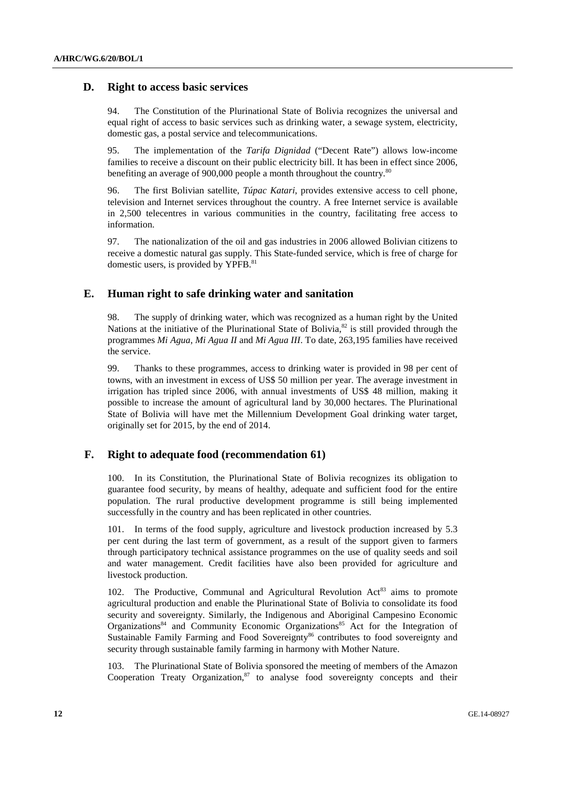### **D. Right to access basic services**

94. The Constitution of the Plurinational State of Bolivia recognizes the universal and equal right of access to basic services such as drinking water, a sewage system, electricity, domestic gas, a postal service and telecommunications.

95. The implementation of the *Tarifa Dignidad* ("Decent Rate") allows low-income families to receive a discount on their public electricity bill. It has been in effect since 2006, benefiting an average of 900,000 people a month throughout the country.<sup>80</sup>

96. The first Bolivian satellite, *Túpac Katari*, provides extensive access to cell phone, television and Internet services throughout the country. A free Internet service is available in 2,500 telecentres in various communities in the country, facilitating free access to information.

97. The nationalization of the oil and gas industries in 2006 allowed Bolivian citizens to receive a domestic natural gas supply. This State-funded service, which is free of charge for domestic users, is provided by YPFB.<sup>81</sup>

### **E. Human right to safe drinking water and sanitation**

98. The supply of drinking water, which was recognized as a human right by the United Nations at the initiative of the Plurinational State of Bolivia.<sup>82</sup> is still provided through the programmes *Mi Agua*, *Mi Agua II* and *Mi Agua III*. To date, 263,195 families have received the service.

99. Thanks to these programmes, access to drinking water is provided in 98 per cent of towns, with an investment in excess of US\$ 50 million per year. The average investment in irrigation has tripled since 2006, with annual investments of US\$ 48 million, making it possible to increase the amount of agricultural land by 30,000 hectares. The Plurinational State of Bolivia will have met the Millennium Development Goal drinking water target, originally set for 2015, by the end of 2014.

### **F. Right to adequate food (recommendation 61)**

100. In its Constitution, the Plurinational State of Bolivia recognizes its obligation to guarantee food security, by means of healthy, adequate and sufficient food for the entire population. The rural productive development programme is still being implemented successfully in the country and has been replicated in other countries.

101. In terms of the food supply, agriculture and livestock production increased by 5.3 per cent during the last term of government, as a result of the support given to farmers through participatory technical assistance programmes on the use of quality seeds and soil and water management. Credit facilities have also been provided for agriculture and livestock production.

102. The Productive, Communal and Agricultural Revolution  $Act^{83}$  aims to promote agricultural production and enable the Plurinational State of Bolivia to consolidate its food security and sovereignty. Similarly, the Indigenous and Aboriginal Campesino Economic Organizations<sup>84</sup> and Community Economic Organizations<sup>85</sup> Act for the Integration of Sustainable Family Farming and Food Sovereignty<sup>86</sup> contributes to food sovereignty and security through sustainable family farming in harmony with Mother Nature.

103. The Plurinational State of Bolivia sponsored the meeting of members of the Amazon Cooperation Treaty Organization, $87$  to analyse food sovereignty concepts and their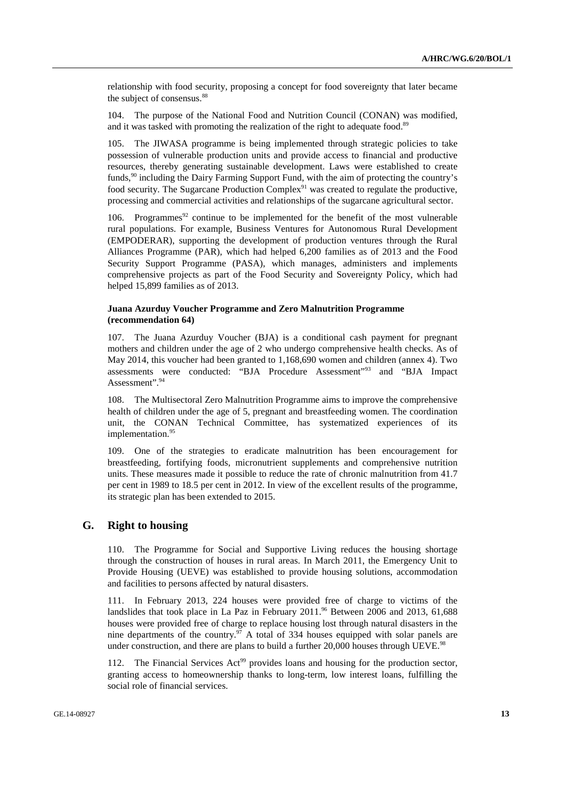relationship with food security, proposing a concept for food sovereignty that later became the subject of consensus.<sup>88</sup>

104. The purpose of the National Food and Nutrition Council (CONAN) was modified, and it was tasked with promoting the realization of the right to adequate food.<sup>89</sup>

The JIWASA programme is being implemented through strategic policies to take possession of vulnerable production units and provide access to financial and productive resources, thereby generating sustainable development. Laws were established to create funds,<sup>90</sup> including the Dairy Farming Support Fund, with the aim of protecting the country's food security. The Sugarcane Production Complex<sup>91</sup> was created to regulate the productive, processing and commercial activities and relationships of the sugarcane agricultural sector.

106. Programmes<sup>92</sup> continue to be implemented for the benefit of the most vulnerable rural populations. For example, Business Ventures for Autonomous Rural Development (EMPODERAR), supporting the development of production ventures through the Rural Alliances Programme (PAR), which had helped 6,200 families as of 2013 and the Food Security Support Programme (PASA), which manages, administers and implements comprehensive projects as part of the Food Security and Sovereignty Policy, which had helped 15,899 families as of 2013.

#### **Juana Azurduy Voucher Programme and Zero Malnutrition Programme (recommendation 64)**

107. The Juana Azurduy Voucher (BJA) is a conditional cash payment for pregnant mothers and children under the age of 2 who undergo comprehensive health checks. As of May 2014, this voucher had been granted to 1,168,690 women and children (annex 4). Two assessments were conducted: "BJA Procedure Assessment"93 and "BJA Impact Assessment".<sup>94</sup>

108. The Multisectoral Zero Malnutrition Programme aims to improve the comprehensive health of children under the age of 5, pregnant and breastfeeding women. The coordination unit, the CONAN Technical Committee, has systematized experiences of its implementation.<sup>95</sup>

109. One of the strategies to eradicate malnutrition has been encouragement for breastfeeding, fortifying foods, micronutrient supplements and comprehensive nutrition units. These measures made it possible to reduce the rate of chronic malnutrition from 41.7 per cent in 1989 to 18.5 per cent in 2012. In view of the excellent results of the programme, its strategic plan has been extended to 2015.

#### **G. Right to housing**

110. The Programme for Social and Supportive Living reduces the housing shortage through the construction of houses in rural areas. In March 2011, the Emergency Unit to Provide Housing (UEVE) was established to provide housing solutions, accommodation and facilities to persons affected by natural disasters.

111. In February 2013, 224 houses were provided free of charge to victims of the landslides that took place in La Paz in February 2011.<sup>96</sup> Between 2006 and 2013, 61,688 houses were provided free of charge to replace housing lost through natural disasters in the nine departments of the country.<sup>97</sup> A total of 334 houses equipped with solar panels are under construction, and there are plans to build a further  $20,000$  houses through UEVE.<sup>98</sup>

The Financial Services  $Act^{99}$  provides loans and housing for the production sector, granting access to homeownership thanks to long-term, low interest loans, fulfilling the social role of financial services.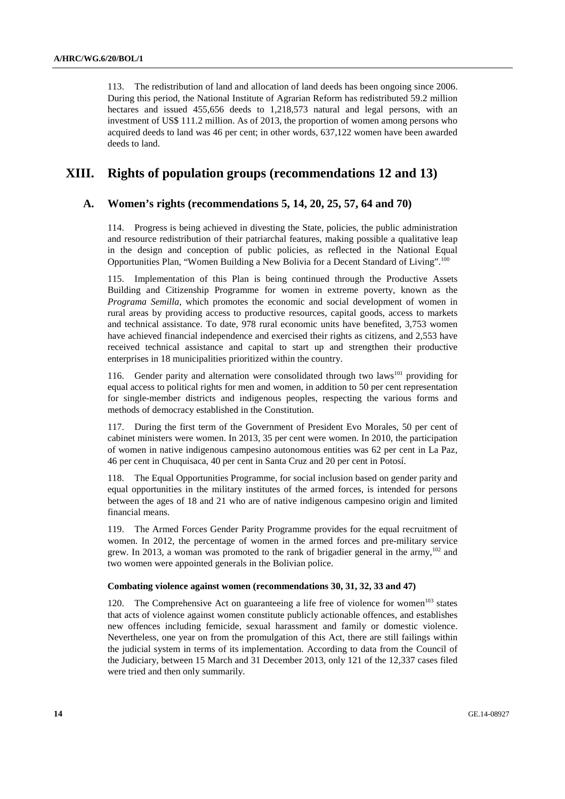113. The redistribution of land and allocation of land deeds has been ongoing since 2006. During this period, the National Institute of Agrarian Reform has redistributed 59.2 million hectares and issued 455,656 deeds to 1,218,573 natural and legal persons, with an investment of US\$ 111.2 million. As of 2013, the proportion of women among persons who acquired deeds to land was 46 per cent; in other words, 637,122 women have been awarded deeds to land.

### **XIII. Rights of population groups (recommendations 12 and 13)**

#### **A. Women's rights (recommendations 5, 14, 20, 25, 57, 64 and 70)**

114. Progress is being achieved in divesting the State, policies, the public administration and resource redistribution of their patriarchal features, making possible a qualitative leap in the design and conception of public policies, as reflected in the National Equal Opportunities Plan, "Women Building a New Bolivia for a Decent Standard of Living".100

115. Implementation of this Plan is being continued through the Productive Assets Building and Citizenship Programme for women in extreme poverty, known as the *Programa Semilla*, which promotes the economic and social development of women in rural areas by providing access to productive resources, capital goods, access to markets and technical assistance. To date, 978 rural economic units have benefited, 3,753 women have achieved financial independence and exercised their rights as citizens, and 2,553 have received technical assistance and capital to start up and strengthen their productive enterprises in 18 municipalities prioritized within the country.

116. Gender parity and alternation were consolidated through two laws<sup>101</sup> providing for equal access to political rights for men and women, in addition to 50 per cent representation for single-member districts and indigenous peoples, respecting the various forms and methods of democracy established in the Constitution.

117. During the first term of the Government of President Evo Morales, 50 per cent of cabinet ministers were women. In 2013, 35 per cent were women. In 2010, the participation of women in native indigenous campesino autonomous entities was 62 per cent in La Paz, 46 per cent in Chuquisaca, 40 per cent in Santa Cruz and 20 per cent in Potosí.

118. The Equal Opportunities Programme, for social inclusion based on gender parity and equal opportunities in the military institutes of the armed forces, is intended for persons between the ages of 18 and 21 who are of native indigenous campesino origin and limited financial means.

119. The Armed Forces Gender Parity Programme provides for the equal recruitment of women. In 2012, the percentage of women in the armed forces and pre-military service grew. In 2013, a woman was promoted to the rank of brigadier general in the army,<sup>102</sup> and two women were appointed generals in the Bolivian police.

#### **Combating violence against women (recommendations 30, 31, 32, 33 and 47)**

120. The Comprehensive Act on guaranteeing a life free of violence for women $^{103}$  states that acts of violence against women constitute publicly actionable offences, and establishes new offences including femicide, sexual harassment and family or domestic violence. Nevertheless, one year on from the promulgation of this Act, there are still failings within the judicial system in terms of its implementation. According to data from the Council of the Judiciary, between 15 March and 31 December 2013, only 121 of the 12,337 cases filed were tried and then only summarily.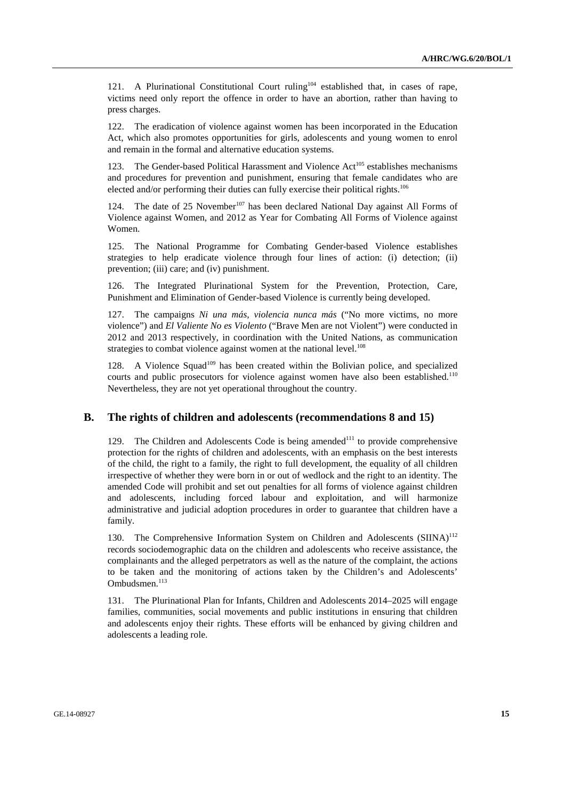121. A Plurinational Constitutional Court ruling<sup>104</sup> established that, in cases of rape, victims need only report the offence in order to have an abortion, rather than having to press charges.

122. The eradication of violence against women has been incorporated in the Education Act, which also promotes opportunities for girls, adolescents and young women to enrol and remain in the formal and alternative education systems.

123. The Gender-based Political Harassment and Violence Act<sup>105</sup> establishes mechanisms and procedures for prevention and punishment, ensuring that female candidates who are elected and/or performing their duties can fully exercise their political rights.<sup>106</sup>

124. The date of 25 November<sup>107</sup> has been declared National Day against All Forms of Violence against Women, and 2012 as Year for Combating All Forms of Violence against Women.

125. The National Programme for Combating Gender-based Violence establishes strategies to help eradicate violence through four lines of action: (i) detection; (ii) prevention; (iii) care; and (iv) punishment.

126. The Integrated Plurinational System for the Prevention, Protection, Care, Punishment and Elimination of Gender-based Violence is currently being developed.

127. The campaigns *Ni una más, violencia nunca más* ("No more victims, no more violence") and *El Valiente No es Violento* ("Brave Men are not Violent") were conducted in 2012 and 2013 respectively, in coordination with the United Nations, as communication strategies to combat violence against women at the national level.<sup>108</sup>

128. A Violence Squad<sup>109</sup> has been created within the Bolivian police, and specialized courts and public prosecutors for violence against women have also been established.<sup>110</sup> Nevertheless, they are not yet operational throughout the country.

#### **B. The rights of children and adolescents (recommendations 8 and 15)**

129. The Children and Adolescents Code is being amended<sup>111</sup> to provide comprehensive protection for the rights of children and adolescents, with an emphasis on the best interests of the child, the right to a family, the right to full development, the equality of all children irrespective of whether they were born in or out of wedlock and the right to an identity. The amended Code will prohibit and set out penalties for all forms of violence against children and adolescents, including forced labour and exploitation, and will harmonize administrative and judicial adoption procedures in order to guarantee that children have a family.

130. The Comprehensive Information System on Children and Adolescents  $(SIINA)^{112}$ records sociodemographic data on the children and adolescents who receive assistance, the complainants and the alleged perpetrators as well as the nature of the complaint, the actions to be taken and the monitoring of actions taken by the Children's and Adolescents' Ombudsmen.113

131. The Plurinational Plan for Infants, Children and Adolescents 2014–2025 will engage families, communities, social movements and public institutions in ensuring that children and adolescents enjoy their rights. These efforts will be enhanced by giving children and adolescents a leading role.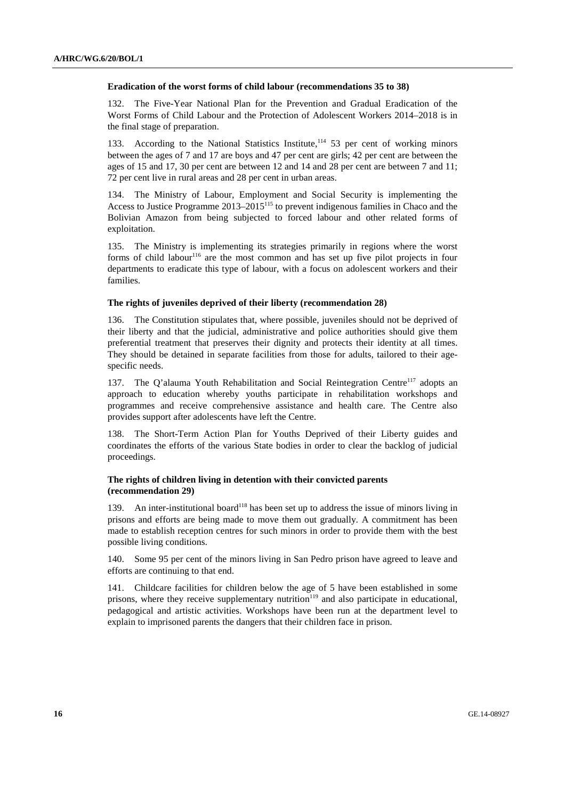#### **Eradication of the worst forms of child labour (recommendations 35 to 38)**

132. The Five-Year National Plan for the Prevention and Gradual Eradication of the Worst Forms of Child Labour and the Protection of Adolescent Workers 2014–2018 is in the final stage of preparation.

133. According to the National Statistics Institute,114 53 per cent of working minors between the ages of 7 and 17 are boys and 47 per cent are girls; 42 per cent are between the ages of 15 and 17, 30 per cent are between 12 and 14 and 28 per cent are between 7 and 11; 72 per cent live in rural areas and 28 per cent in urban areas.

134. The Ministry of Labour, Employment and Social Security is implementing the Access to Justice Programme  $2013-2015$ <sup>115</sup> to prevent indigenous families in Chaco and the Bolivian Amazon from being subjected to forced labour and other related forms of exploitation.

135. The Ministry is implementing its strategies primarily in regions where the worst forms of child labour<sup>116</sup> are the most common and has set up five pilot projects in four departments to eradicate this type of labour, with a focus on adolescent workers and their families.

#### **The rights of juveniles deprived of their liberty (recommendation 28)**

136. The Constitution stipulates that, where possible, juveniles should not be deprived of their liberty and that the judicial, administrative and police authorities should give them preferential treatment that preserves their dignity and protects their identity at all times. They should be detained in separate facilities from those for adults, tailored to their agespecific needs.

137. The O'alauma Youth Rehabilitation and Social Reintegration Centre<sup>117</sup> adopts an approach to education whereby youths participate in rehabilitation workshops and programmes and receive comprehensive assistance and health care. The Centre also provides support after adolescents have left the Centre.

138. The Short-Term Action Plan for Youths Deprived of their Liberty guides and coordinates the efforts of the various State bodies in order to clear the backlog of judicial proceedings.

#### **The rights of children living in detention with their convicted parents (recommendation 29)**

139. An inter-institutional board<sup>118</sup> has been set up to address the issue of minors living in prisons and efforts are being made to move them out gradually. A commitment has been made to establish reception centres for such minors in order to provide them with the best possible living conditions.

140. Some 95 per cent of the minors living in San Pedro prison have agreed to leave and efforts are continuing to that end.

141. Childcare facilities for children below the age of 5 have been established in some prisons, where they receive supplementary nutrition<sup>119</sup> and also participate in educational, pedagogical and artistic activities. Workshops have been run at the department level to explain to imprisoned parents the dangers that their children face in prison.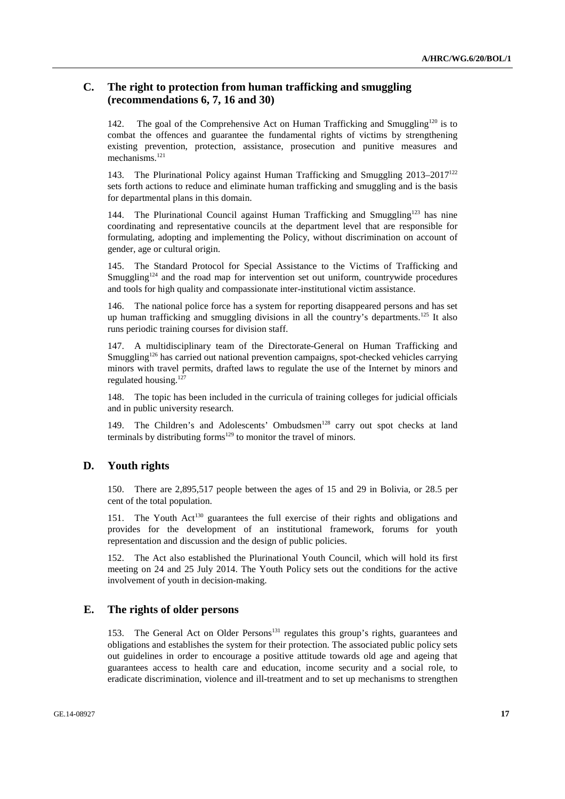### **C. The right to protection from human trafficking and smuggling (recommendations 6, 7, 16 and 30)**

142. The goal of the Comprehensive Act on Human Trafficking and Smuggling<sup>120</sup> is to combat the offences and guarantee the fundamental rights of victims by strengthening existing prevention, protection, assistance, prosecution and punitive measures and mechanisms.<sup>121</sup>

143. The Plurinational Policy against Human Trafficking and Smuggling 2013–2017122 sets forth actions to reduce and eliminate human trafficking and smuggling and is the basis for departmental plans in this domain.

144. The Plurinational Council against Human Trafficking and Smuggling<sup>123</sup> has nine coordinating and representative councils at the department level that are responsible for formulating, adopting and implementing the Policy, without discrimination on account of gender, age or cultural origin.

145. The Standard Protocol for Special Assistance to the Victims of Trafficking and Smuggling<sup>124</sup> and the road map for intervention set out uniform, countrywide procedures and tools for high quality and compassionate inter-institutional victim assistance.

146. The national police force has a system for reporting disappeared persons and has set up human trafficking and smuggling divisions in all the country's departments.<sup>125</sup> It also runs periodic training courses for division staff.

147. A multidisciplinary team of the Directorate-General on Human Trafficking and Smuggling<sup>126</sup> has carried out national prevention campaigns, spot-checked vehicles carrying minors with travel permits, drafted laws to regulate the use of the Internet by minors and regulated housing. $127$ 

148. The topic has been included in the curricula of training colleges for judicial officials and in public university research.

149. The Children's and Adolescents' Ombudsmen<sup>128</sup> carry out spot checks at land terminals by distributing forms<sup>129</sup> to monitor the travel of minors.

#### **D. Youth rights**

150. There are 2,895,517 people between the ages of 15 and 29 in Bolivia, or 28.5 per cent of the total population.

151. The Youth Act<sup>130</sup> guarantees the full exercise of their rights and obligations and provides for the development of an institutional framework, forums for youth representation and discussion and the design of public policies.

152. The Act also established the Plurinational Youth Council, which will hold its first meeting on 24 and 25 July 2014. The Youth Policy sets out the conditions for the active involvement of youth in decision-making.

### **E. The rights of older persons**

153. The General Act on Older Persons<sup>131</sup> regulates this group's rights, guarantees and obligations and establishes the system for their protection. The associated public policy sets out guidelines in order to encourage a positive attitude towards old age and ageing that guarantees access to health care and education, income security and a social role, to eradicate discrimination, violence and ill-treatment and to set up mechanisms to strengthen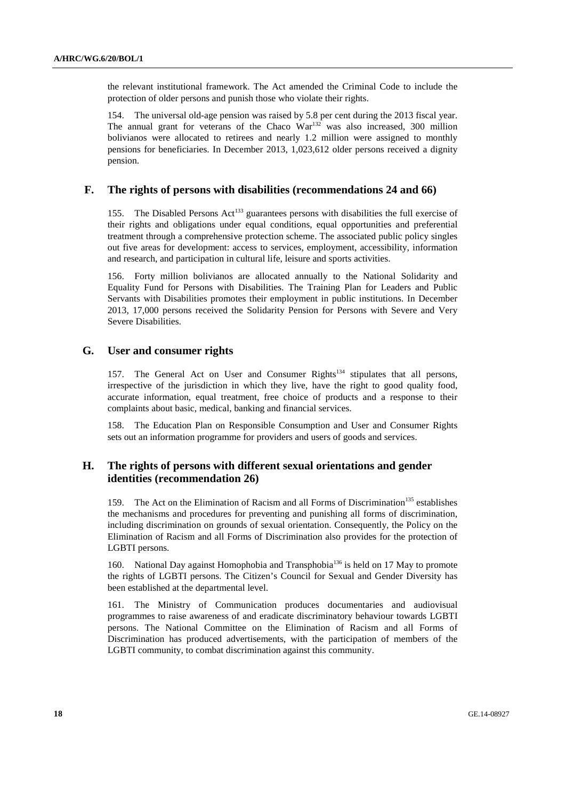the relevant institutional framework. The Act amended the Criminal Code to include the protection of older persons and punish those who violate their rights.

154. The universal old-age pension was raised by 5.8 per cent during the 2013 fiscal year. The annual grant for veterans of the Chaco  $\text{War}^{132}$  was also increased, 300 million bolivianos were allocated to retirees and nearly 1.2 million were assigned to monthly pensions for beneficiaries. In December 2013, 1,023,612 older persons received a dignity pension.

### **F. The rights of persons with disabilities (recommendations 24 and 66)**

155. The Disabled Persons  $Act^{133}$  guarantees persons with disabilities the full exercise of their rights and obligations under equal conditions, equal opportunities and preferential treatment through a comprehensive protection scheme. The associated public policy singles out five areas for development: access to services, employment, accessibility, information and research, and participation in cultural life, leisure and sports activities.

156. Forty million bolivianos are allocated annually to the National Solidarity and Equality Fund for Persons with Disabilities. The Training Plan for Leaders and Public Servants with Disabilities promotes their employment in public institutions. In December 2013, 17,000 persons received the Solidarity Pension for Persons with Severe and Very Severe Disabilities.

### **G. User and consumer rights**

157. The General Act on User and Consumer Rights<sup>134</sup> stipulates that all persons, irrespective of the jurisdiction in which they live, have the right to good quality food, accurate information, equal treatment, free choice of products and a response to their complaints about basic, medical, banking and financial services.

158. The Education Plan on Responsible Consumption and User and Consumer Rights sets out an information programme for providers and users of goods and services.

### **H. The rights of persons with different sexual orientations and gender identities (recommendation 26)**

159. The Act on the Elimination of Racism and all Forms of Discrimination<sup>135</sup> establishes the mechanisms and procedures for preventing and punishing all forms of discrimination, including discrimination on grounds of sexual orientation. Consequently, the Policy on the Elimination of Racism and all Forms of Discrimination also provides for the protection of LGBTI persons.

160. National Day against Homophobia and Transphobia<sup>136</sup> is held on 17 May to promote the rights of LGBTI persons. The Citizen's Council for Sexual and Gender Diversity has been established at the departmental level.

161. The Ministry of Communication produces documentaries and audiovisual programmes to raise awareness of and eradicate discriminatory behaviour towards LGBTI persons. The National Committee on the Elimination of Racism and all Forms of Discrimination has produced advertisements, with the participation of members of the LGBTI community, to combat discrimination against this community.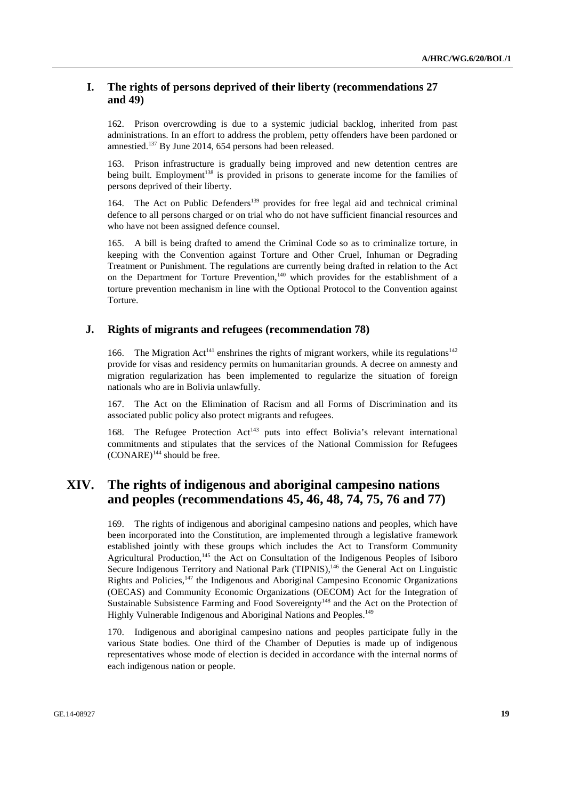### **I. The rights of persons deprived of their liberty (recommendations 27 and 49)**

162. Prison overcrowding is due to a systemic judicial backlog, inherited from past administrations. In an effort to address the problem, petty offenders have been pardoned or amnestied.<sup>137</sup> By June 2014, 654 persons had been released.

163. Prison infrastructure is gradually being improved and new detention centres are being built. Employment<sup>138</sup> is provided in prisons to generate income for the families of persons deprived of their liberty.

164. The Act on Public Defenders<sup>139</sup> provides for free legal aid and technical criminal defence to all persons charged or on trial who do not have sufficient financial resources and who have not been assigned defence counsel.

165. A bill is being drafted to amend the Criminal Code so as to criminalize torture, in keeping with the Convention against Torture and Other Cruel, Inhuman or Degrading Treatment or Punishment. The regulations are currently being drafted in relation to the Act on the Department for Torture Prevention,<sup>140</sup> which provides for the establishment of a torture prevention mechanism in line with the Optional Protocol to the Convention against Torture.

#### **J. Rights of migrants and refugees (recommendation 78)**

166. The Migration Act<sup>141</sup> enshrines the rights of migrant workers, while its regulations<sup>142</sup> provide for visas and residency permits on humanitarian grounds. A decree on amnesty and migration regularization has been implemented to regularize the situation of foreign nationals who are in Bolivia unlawfully.

167. The Act on the Elimination of Racism and all Forms of Discrimination and its associated public policy also protect migrants and refugees.

168. The Refugee Protection Act<sup>143</sup> puts into effect Bolivia's relevant international commitments and stipulates that the services of the National Commission for Refugees  $(CONARE)^{144}$  should be free.

## **XIV. The rights of indigenous and aboriginal campesino nations and peoples (recommendations 45, 46, 48, 74, 75, 76 and 77)**

169. The rights of indigenous and aboriginal campesino nations and peoples, which have been incorporated into the Constitution, are implemented through a legislative framework established jointly with these groups which includes the Act to Transform Community Agricultural Production,<sup>145</sup> the Act on Consultation of the Indigenous Peoples of Isiboro Secure Indigenous Territory and National Park (TIPNIS),<sup>146</sup> the General Act on Linguistic Rights and Policies, $147$  the Indigenous and Aboriginal Campesino Economic Organizations (OECAS) and Community Economic Organizations (OECOM) Act for the Integration of Sustainable Subsistence Farming and Food Sovereignty<sup>148</sup> and the Act on the Protection of Highly Vulnerable Indigenous and Aboriginal Nations and Peoples.<sup>149</sup>

170. Indigenous and aboriginal campesino nations and peoples participate fully in the various State bodies. One third of the Chamber of Deputies is made up of indigenous representatives whose mode of election is decided in accordance with the internal norms of each indigenous nation or people.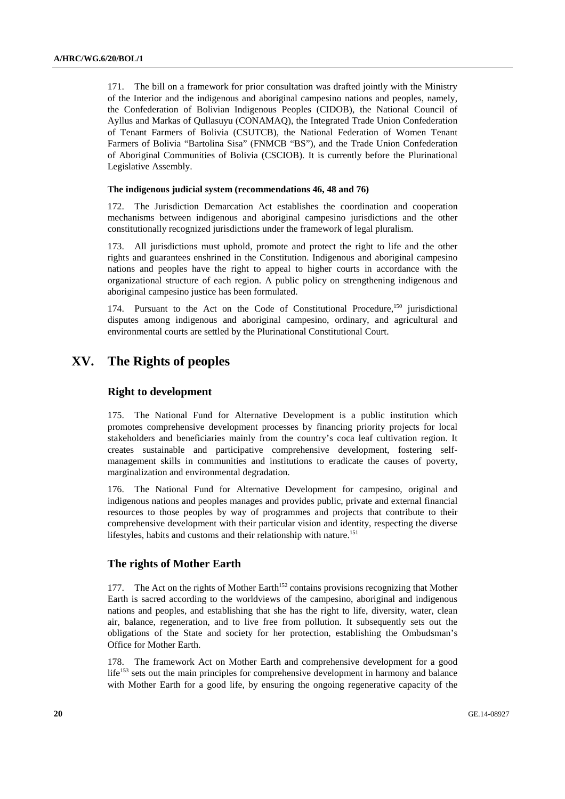171. The bill on a framework for prior consultation was drafted jointly with the Ministry of the Interior and the indigenous and aboriginal campesino nations and peoples, namely, the Confederation of Bolivian Indigenous Peoples (CIDOB), the National Council of Ayllus and Markas of Qullasuyu (CONAMAQ), the Integrated Trade Union Confederation of Tenant Farmers of Bolivia (CSUTCB), the National Federation of Women Tenant Farmers of Bolivia "Bartolina Sisa" (FNMCB "BS"), and the Trade Union Confederation of Aboriginal Communities of Bolivia (CSCIOB). It is currently before the Plurinational Legislative Assembly.

#### **The indigenous judicial system (recommendations 46, 48 and 76)**

172. The Jurisdiction Demarcation Act establishes the coordination and cooperation mechanisms between indigenous and aboriginal campesino jurisdictions and the other constitutionally recognized jurisdictions under the framework of legal pluralism.

173. All jurisdictions must uphold, promote and protect the right to life and the other rights and guarantees enshrined in the Constitution. Indigenous and aboriginal campesino nations and peoples have the right to appeal to higher courts in accordance with the organizational structure of each region. A public policy on strengthening indigenous and aboriginal campesino justice has been formulated.

174. Pursuant to the Act on the Code of Constitutional Procedure,<sup>150</sup> jurisdictional disputes among indigenous and aboriginal campesino, ordinary, and agricultural and environmental courts are settled by the Plurinational Constitutional Court.

## **XV. The Rights of peoples**

#### **Right to development**

175. The National Fund for Alternative Development is a public institution which promotes comprehensive development processes by financing priority projects for local stakeholders and beneficiaries mainly from the country's coca leaf cultivation region. It creates sustainable and participative comprehensive development, fostering selfmanagement skills in communities and institutions to eradicate the causes of poverty, marginalization and environmental degradation.

176. The National Fund for Alternative Development for campesino, original and indigenous nations and peoples manages and provides public, private and external financial resources to those peoples by way of programmes and projects that contribute to their comprehensive development with their particular vision and identity, respecting the diverse lifestyles, habits and customs and their relationship with nature.<sup>151</sup>

#### **The rights of Mother Earth**

177. The Act on the rights of Mother Earth<sup>152</sup> contains provisions recognizing that Mother Earth is sacred according to the worldviews of the campesino, aboriginal and indigenous nations and peoples, and establishing that she has the right to life, diversity, water, clean air, balance, regeneration, and to live free from pollution. It subsequently sets out the obligations of the State and society for her protection, establishing the Ombudsman's Office for Mother Earth.

178. The framework Act on Mother Earth and comprehensive development for a good life<sup>153</sup> sets out the main principles for comprehensive development in harmony and balance with Mother Earth for a good life, by ensuring the ongoing regenerative capacity of the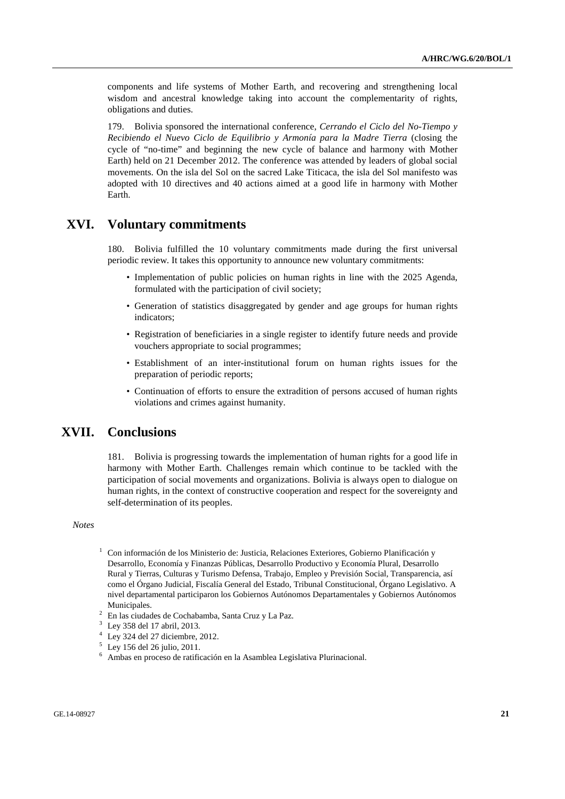components and life systems of Mother Earth, and recovering and strengthening local wisdom and ancestral knowledge taking into account the complementarity of rights, obligations and duties.

179. Bolivia sponsored the international conference, *Cerrando el Ciclo del No-Tiempo y Recibiendo el Nuevo Ciclo de Equilibrio y Armonía para la Madre Tierra* (closing the cycle of "no-time" and beginning the new cycle of balance and harmony with Mother Earth) held on 21 December 2012. The conference was attended by leaders of global social movements. On the isla del Sol on the sacred Lake Titicaca, the isla del Sol manifesto was adopted with 10 directives and 40 actions aimed at a good life in harmony with Mother Earth.

## **XVI. Voluntary commitments**

180. Bolivia fulfilled the 10 voluntary commitments made during the first universal periodic review. It takes this opportunity to announce new voluntary commitments:

- Implementation of public policies on human rights in line with the 2025 Agenda, formulated with the participation of civil society;
- Generation of statistics disaggregated by gender and age groups for human rights indicators;
- Registration of beneficiaries in a single register to identify future needs and provide vouchers appropriate to social programmes;
- Establishment of an inter-institutional forum on human rights issues for the preparation of periodic reports;
- Continuation of efforts to ensure the extradition of persons accused of human rights violations and crimes against humanity.

## **XVII. Conclusions**

181. Bolivia is progressing towards the implementation of human rights for a good life in harmony with Mother Earth. Challenges remain which continue to be tackled with the participation of social movements and organizations. Bolivia is always open to dialogue on human rights, in the context of constructive cooperation and respect for the sovereignty and self-determination of its peoples.

#### *Notes*

- $1$  Con información de los Ministerio de: Justicia, Relaciones Exteriores, Gobierno Planificación y Desarrollo, Economía y Finanzas Públicas, Desarrollo Productivo y Economía Plural, Desarrollo Rural y Tierras, Culturas y Turismo Defensa, Trabajo, Empleo y Previsión Social, Transparencia, así como el Órgano Judicial, Fiscalía General del Estado, Tribunal Constitucional, Órgano Legislativo. A nivel departamental participaron los Gobiernos Autónomos Departamentales y Gobiernos Autónomos Municipales.
- <sup>2</sup> En las ciudades de Cochabamba, Santa Cruz y La Paz.
- 
- <sup>3</sup> Ley 358 del 17 abril, 2013. 4 Ley 324 del 27 diciembre, 2012. 5 Ley 156 del 26 julio, 2011. 6
- 
- Ambas en proceso de ratificación en la Asamblea Legislativa Plurinacional.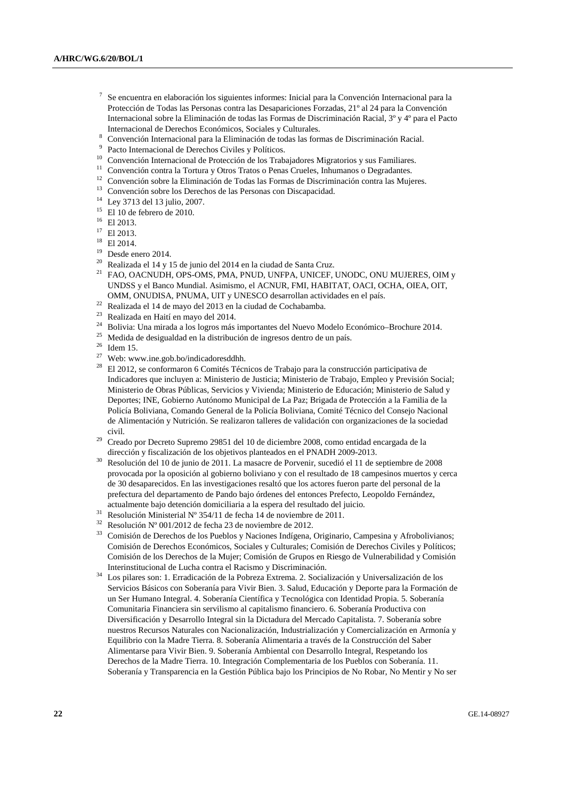- <sup>7</sup> Se encuentra en elaboración los siguientes informes: Inicial para la Convención Internacional para la Protección de Todas las Personas contra las Desapariciones Forzadas, 21º al 24 para la Convención Internacional sobre la Eliminación de todas las Formas de Discriminación Racial, 3º y 4º para el Pacto
- Internacional de Derechos Económicos, Sociales y Culturales.<br>
<sup>8</sup> Convención Internacional para la Eliminación de todas las formas de Discriminación Racial.<br>
<sup>9</sup> Pacto Internacional de Derechos Civiles y Políticos.<br>
<sup>10</sup> C
- 
- 
- 
- <sup>12</sup> Convención sobre la Eliminación de Todas las Formas de Discriminación contra las Mujeres.
- 13 Convención sobre los Derechos de las Personas con Discapacidad.
- <sup>14</sup> Ley 3713 del 13 julio, 2007.
- <sup>15</sup> El 10 de febrero de 2010.<br><sup>16</sup> El 2013.
- 
- <sup>17</sup> El 2013.
- 18 El 2014.
- 19 Desde enero 2014.
- $20$  Realizada el 14 y 15 de junio del 2014 en la ciudad de Santa Cruz.
- 21 FAO, OACNUDH, OPS-OMS, PMA, PNUD, UNFPA, UNICEF, UNODC, ONU MUJERES, OIM y UNDSS y el Banco Mundial. Asimismo, el ACNUR, FMI, HABITAT, OACI, OCHA, OIEA, OIT,
- 
- 
- <sup>22</sup> Realizada el 14 de mayo del 2013 en la ciudad de Cochabamba.<br><sup>23</sup> Realizada en Haití en mayo del 2014.<br><sup>24</sup> Bolivia: Una mirada a los logros más importantes del Nuevo Modelo Económico-Brochure 2014.<br><sup>25</sup> Medida de de
- 
- 
- 27 Web: www.ine.gob.bo/indicadoresddhh.
- 28 El 2012, se conformaron 6 Comités Técnicos de Trabajo para la construcción participativa de Indicadores que incluyen a: Ministerio de Justicia; Ministerio de Trabajo, Empleo y Previsión Social; Ministerio de Obras Públicas, Servicios y Vivienda; Ministerio de Educación; Ministerio de Salud y Deportes; INE, Gobierno Autónomo Municipal de La Paz; Brigada de Protección a la Familia de la Policía Boliviana, Comando General de la Policía Boliviana, Comité Técnico del Consejo Nacional de Alimentación y Nutrición. Se realizaron talleres de validación con organizaciones de la sociedad civil. 29 Creado por Decreto Supremo 29851 del 10 de diciembre 2008, como entidad encargada de la
- 
- dirección y fiscalización de los objetivos planteados en el PNADH 2009-2013. 30 Resolución del 10 de junio de 2011. La masacre de Porvenir, sucedió el 11 de septiembre de 2008 provocada por la oposición al gobierno boliviano y con el resultado de 18 campesinos muertos y cerca de 30 desaparecidos. En las investigaciones resaltó que los actores fueron parte del personal de la prefectura del departamento de Pando bajo órdenes del entonces Prefecto, Leopoldo Fernández, actualmente bajo detención domiciliaria a la espera del resultado del juicio.<br><sup>31</sup> Resolución Ministerial Nº 354/11 de fecha 14 de noviembre de 2011.<br><sup>32</sup> Resolución Nº 001/012 de fecha 22 de noviembre de 2012.
- 
- 
- <sup>32</sup> Resolución Nº 001/2012 de fecha 23 de noviembre de 2012.<br><sup>33</sup> Comisión de Derechos de los Pueblos y Naciones Indígena, Originario, Campesina y Afrobolivianos; Comisión de Derechos Económicos, Sociales y Culturales; Comisión de Derechos Civiles y Políticos; Comisión de los Derechos de la Mujer; Comisión de Grupos en Riesgo de Vulnerabilidad y Comisión Interinstitucional de Lucha contra el Racismo y Discriminación. 34 Los pilares son: 1. Erradicación de la Pobreza Extrema. 2. Socialización y Universalización de los
- Servicios Básicos con Soberanía para Vivir Bien. 3. Salud, Educación y Deporte para la Formación de un Ser Humano Integral. 4. Soberanía Científica y Tecnológica con Identidad Propia. 5. Soberanía Comunitaria Financiera sin servilismo al capitalismo financiero. 6. Soberanía Productiva con Diversificación y Desarrollo Integral sin la Dictadura del Mercado Capitalista. 7. Soberanía sobre nuestros Recursos Naturales con Nacionalización, Industrialización y Comercialización en Armonía y Equilibrio con la Madre Tierra. 8. Soberanía Alimentaria a través de la Construcción del Saber Alimentarse para Vivir Bien. 9. Soberanía Ambiental con Desarrollo Integral, Respetando los Derechos de la Madre Tierra. 10. Integración Complementaria de los Pueblos con Soberanía. 11. Soberanía y Transparencia en la Gestión Pública bajo los Principios de No Robar, No Mentir y No ser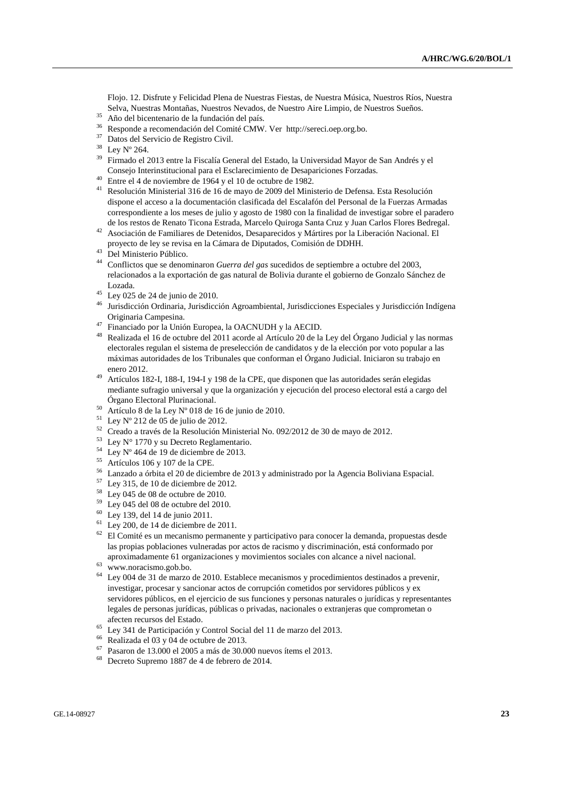Flojo. 12. Disfrute y Felicidad Plena de Nuestras Fiestas, de Nuestra Música, Nuestros Ríos, Nuestra Selva, Nuestras Montañas, Nuestros Nevados, de Nuestro Aire Limpio, de Nuestros Sueños.<br><sup>35</sup> Año del bicentenario de la fundación del país.<br><sup>36</sup> Besponda e gasemendación del Comité CMW. Ven http://egreci.org.org.he

- 
- 36 Responde a recomendación del Comité CMW. Ver http://sereci.oep.org.bo.
- 37 Datos del Servicio de Registro Civil.
- 38 Ley Nº 264.

 $39$  Firmado el 2013 entre la Fiscalía General del Estado, la Universidad Mayor de San Andrés y el Consejo Interinstitucional para el Esclarecimiento de Desapariciones Forzadas.

- $40$  Entre el 4 de noviembre de 1964 y el 10 de octubre de 1982.
- 41 Resolución Ministerial 316 de 16 de mayo de 2009 del Ministerio de Defensa. Esta Resolución dispone el acceso a la documentación clasificada del Escalafón del Personal de la Fuerzas Armadas correspondiente a los meses de julio y agosto de 1980 con la finalidad de investigar sobre el paradero
- de los restos de Renato Ticona Estrada, Marcelo Quiroga Santa Cruz y Juan Carlos Flores Bedregal. 42 Asociación de Familiares de Detenidos, Desaparecidos y Mártires por la Liberación Nacional. El proyecto de ley se revisa en la Cámara de Diputados, Comisión de DDHH. 43 Del Ministerio Público.
- 
- 44 Conflictos que se denominaron *Guerra del gas* sucedidos de septiembre a octubre del 2003, relacionados a la exportación de gas natural de Bolivia durante el gobierno de Gonzalo Sánchez de Lozada. 45 Ley 025 de 24 de junio de 2010.
- 
- 46 Jurisdicción Ordinaria, Jurisdicción Agroambiental, Jurisdicciones Especiales y Jurisdicción Indígena Originaria Campesina. 47 Financiado por la Unión Europea, la OACNUDH y la AECID.
- 
- 48 Realizada el 16 de octubre del 2011 acorde al Artículo 20 de la Ley del Órgano Judicial y las normas electorales regulan el sistema de preselección de candidatos y de la elección por voto popular a las máximas autoridades de los Tribunales que conforman el Órgano Judicial. Iniciaron su trabajo en enero 2012. 49 Artículos 182-I, 188-I, 194-I y 198 de la CPE, que disponen que las autoridades serán elegidas
- mediante sufragio universal y que la organización y ejecución del proceso electoral está a cargo del Órgano Electoral Plurinacional.<br>
<sup>50</sup> Artículo 8 de la Ley Nº 018 de 16 de junio de 2010.
- 
- $51$  Lev N° 212 de 05 de julio de 2012.
- 52 Creado a través de la Resolución Ministerial No. 092/2012 de 30 de mayo de 2012.
- $53$  Ley N° 1770 y su Decreto Reglamentario.
- $54$  Ley N° 464 de 19 de diciembre de 2013.
- 55 Artículos 106 y 107 de la CPE.
- 56 Lanzado a órbita el 20 de diciembre de 2013 y administrado por la Agencia Boliviana Espacial.
- 57 Ley 315, de 10 de diciembre de 2012.
- 58 Ley 045 de 08 de octubre de 2010.
- $59$  Ley 045 del 08 de octubre del 2010.
- 60 Ley 139, del 14 de junio 2011.
- $61$  Ley 200, de 14 de diciembre de 2011.
- $62$  El Comité es un mecanismo permanente y participativo para conocer la demanda, propuestas desde las propias poblaciones vulneradas por actos de racismo y discriminación, está conformado por aproximadamente 61 organizaciones y movimientos sociales con alcance a nivel nacional. 63 www.noracismo.gob.bo.
- 
- 64 Ley 004 de 31 de marzo de 2010. Establece mecanismos y procedimientos destinados a prevenir, investigar, procesar y sancionar actos de corrupción cometidos por servidores públicos y ex servidores públicos, en el ejercicio de sus funciones y personas naturales o jurídicas y representantes legales de personas jurídicas, públicas o privadas, nacionales o extranjeras que comprometan o afecten recursos del Estado. 65 Ley 341 de Participación y Control Social del 11 de marzo del 2013.
- 
- <sup>66</sup> Realizada el 03 y 04 de octubre de 2013.
- 67 Pasaron de 13.000 el 2005 a más de 30.000 nuevos ítems el 2013.
- 68 Decreto Supremo 1887 de 4 de febrero de 2014.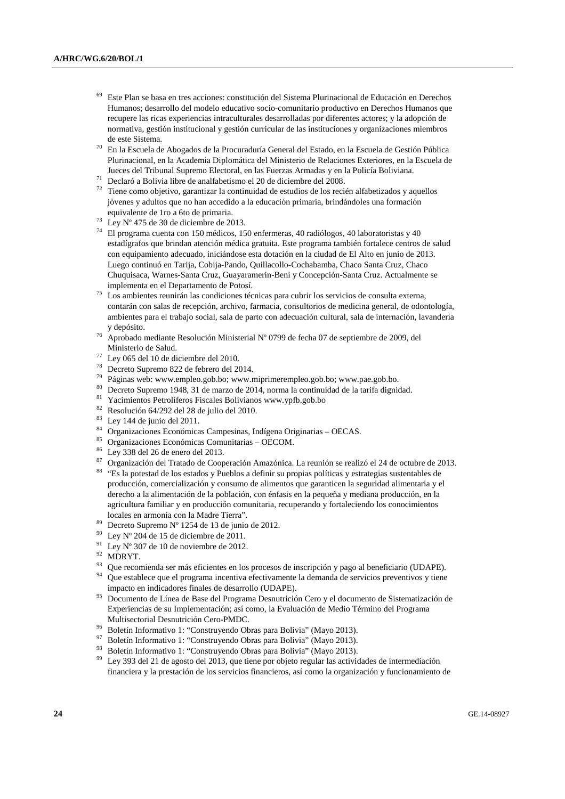- 69 Este Plan se basa en tres acciones: constitución del Sistema Plurinacional de Educación en Derechos Humanos; desarrollo del modelo educativo socio-comunitario productivo en Derechos Humanos que recupere las ricas experiencias intraculturales desarrolladas por diferentes actores; y la adopción de normativa, gestión institucional y gestión curricular de las instituciones y organizaciones miembros
- En la Escuela de Abogados de la Procuraduría General del Estado, en la Escuela de Gestión Pública Plurinacional, en la Academia Diplomática del Ministerio de Relaciones Exteriores, en la Escuela de
- $71$  Declaró a Bolivia libre de analfabetismo el 20 de diciembre del 2008.
- $72$  Tiene como objetivo, garantizar la continuidad de estudios de los recién alfabetizados y aquellos jóvenes y adultos que no han accedido a la educación primaria, brindándoles una formación
- equivalente de 1ro a 6to de primaria.<br><sup>73</sup> Ley Nº 475 de 30 de diciembre de 2013.
- 74 El programa cuenta con 150 médicos, 150 enfermeras, 40 radiólogos, 40 laboratoristas y 40 estadígrafos que brindan atención médica gratuita. Este programa también fortalece centros de salud con equipamiento adecuado, iniciándose esta dotación en la ciudad de El Alto en junio de 2013. Luego continuó en Tarija, Cobija-Pando, Quillacollo-Cochabamba, Chaco Santa Cruz, Chaco Chuquisaca, Warnes-Santa Cruz, Guayaramerin-Beni y Concepción-Santa Cruz. Actualmente se implementa en el Departamento de Potosí. 75 Los ambientes reunirán las condiciones técnicas para cubrir los servicios de consulta externa,
- contarán con salas de recepción, archivo, farmacia, consultorios de medicina general, de odontología, ambientes para el trabajo social, sala de parto con adecuación cultural, sala de internación, lavandería
- <sup>76</sup> Aprobado mediante Resolución Ministerial Nº 0799 de fecha 07 de septiembre de 2009, del
- 
- 
- 
- 
- 
- 
- 
- 
- 
- 
- 
- Ministerio de Salud.<br>
<sup>77</sup> Ley 065 del 10 de diciembre del 2010.<br>
<sup>78</sup> Decreto Supremo 822 de febrero del 2014.<br>
<sup>79</sup> Páginas web: www.empleo.gob.bo; www.miprimerempleo.gob.bo; www.pae.gob.bo.<br>
<sup>82</sup> Resolución 64/292 del producción, comercialización y consumo de alimentos que garanticen la seguridad alimentaria y el derecho a la alimentación de la población, con énfasis en la pequeña y mediana producción, en la agricultura familiar y en producción comunitaria, recuperando y fortaleciendo los conocimientos locales en armonía con la Madre Tierra".<br>
<sup>89</sup> Decreto Supremo N° 1254 de 13 de junio de 2012.<br>
<sup>90</sup> Ley N° 204 de 15 de diciembre de 2011.<br>
<sup>91</sup> Ley N° 307 de 10 de noviembre de 2012.<br>
<sup>92</sup> MDRYT.<br>
<sup>93</sup> Que recomienda se
- 
- 
- 
- 
- 
- impacto en indicadores finales de desarrollo (UDAPE). 95 Documento de Línea de Base del Programa Desnutrición Cero y el documento de Sistematización de
- Experiencias de su Implementación; así como, la Evaluación de Medio Término del Programa Multisectorial Desnutrición Cero-PMDC.<br><sup>96</sup> Boletín Informativo 1: "Construyendo Obras para Bolivia" (Mayo 2013).<br><sup>97</sup> Boletín Informativo 1: "Construyendo Obras para Bolivia" (Mayo 2013).<br><sup>98</sup> Boletín Informativo 1: "Cons
- 
- 
- 
- financiera y la prestación de los servicios financieros, así como la organización y funcionamiento de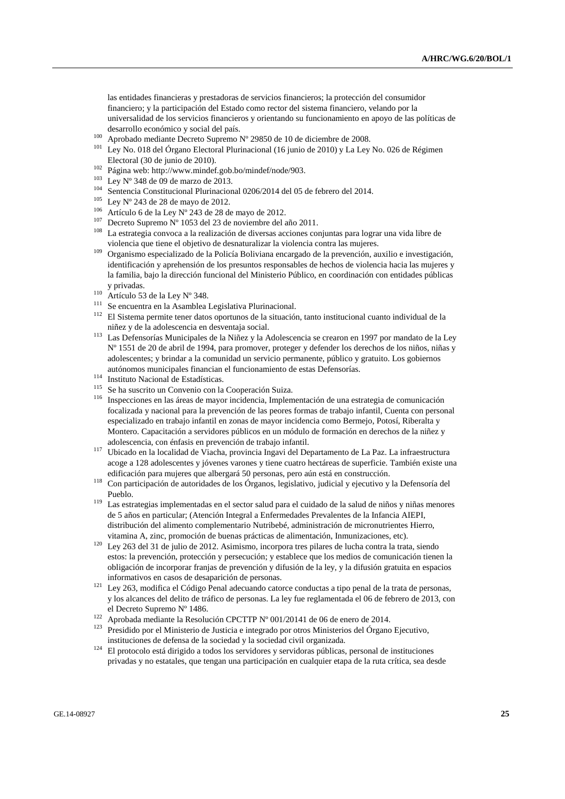las entidades financieras y prestadoras de servicios financieros; la protección del consumidor financiero; y la participación del Estado como rector del sistema financiero, velando por la universalidad de los servicios financieros y orientando su funcionamiento en apoyo de las políticas de

- 
- desarrollo económico y social del país.<br>
<sup>100</sup> Aprobado mediante Decreto Supremo Nº 29850 de 10 de diciembre de 2008.<br>
<sup>101</sup> Ley No. 018 del Órgano Electoral Plurinacional (16 junio de 2010) y La Ley No. 026 de Régimen
- 
- 
- 
- 
- 
- 
- Electoral (30 de junio de 2010).<br>
<sup>102</sup> Página web: http://www.mindef.gob.bo/mindef/node/903.<br>
<sup>103</sup> Ley N° 348 de 09 de marzo de 2013.<br>
<sup>104</sup> Sentencia Constitucional Plurinacional 0206/2014 del 05 de febrero del 2014.<br>
- violencia que tiene el objetivo de desnaturalizar la violencia contra las mujeres. 109 Organismo especializado de la Policía Boliviana encargado de la prevención, auxilio e investigación, identificación y aprehensión de los presuntos responsables de hechos de violencia hacia las mujeres y la familia, bajo la dirección funcional del Ministerio Público, en coordinación con entidades públicas
- 
- 
- <sup>110</sup> Artículo 53 de la Ley N° 348.<br><sup>111</sup> Se encuentra en la Asamblea Legislativa Plurinacional.<br><sup>112</sup> El Sistema permite tener datos oportunos de la situación, tanto institucional cuanto individual de la
- niñez y de la adolescencia en desventaja social. 113 Las Defensorías Municipales de la Niñez y la Adolescencia se crearon en 1997 por mandato de la Ley Nº 1551 de 20 de abril de 1994, para promover, proteger y defender los derechos de los niños, niñas y adolescentes; y brindar a la comunidad un servicio permanente, público y gratuito. Los gobiernos
- 
- 
- autónomos municipales financian el funcionamiento de estas Defensorías.<br>
<sup>114</sup> Instituto Nacional de Estadísticas.<br>
<sup>115</sup> Se ha suscrito un Convenio con la Cooperación Suiza.<br>
<sup>116</sup> Inspecciones en las áreas de mayor incid focalizada y nacional para la prevención de las peores formas de trabajo infantil, Cuenta con personal especializado en trabajo infantil en zonas de mayor incidencia como Bermejo, Potosí, Riberalta y Montero. Capacitación a servidores públicos en un módulo de formación en derechos de la niñez y
- adolescencia, con énfasis en prevención de trabajo infantil. 117 Ubicado en la localidad de Viacha, provincia Ingavi del Departamento de La Paz. La infraestructura acoge a 128 adolescentes y jóvenes varones y tiene cuatro hectáreas de superficie. También existe una
- edificación para mujeres que albergará 50 personas, pero aún está en construcción. 118 Con participación de autoridades de los Órganos, legislativo, judicial y ejecutivo y la Defensoría del
- Pueblo. 119 Las estrategias implementadas en el sector salud para el cuidado de la salud de niños y niñas menores de 5 años en particular; (Atención Integral a Enfermedades Prevalentes de la Infancia AIEPI, distribución del alimento complementario Nutribebé, administración de micronutrientes Hierro,
- vitamina A, zinc, promoción de buenas prácticas de alimentación, Inmunizaciones, etc). 120 Ley 263 del 31 de julio de 2012. Asimismo, incorpora tres pilares de lucha contra la trata, siendo estos: la prevención, protección y persecución; y establece que los medios de comunicación tienen la obligación de incorporar franjas de prevención y difusión de la ley, y la difusión gratuita en espacios informativos en casos de desaparición de personas. 121 Ley 263, modifica el Código Penal adecuando catorce conductas a tipo penal de la trata de personas,
- y los alcances del delito de tráfico de personas. La ley fue reglamentada el 06 de febrero de 2013, con
- 
- el Decreto Supremo Nº 1486.<br>
<sup>122</sup> Aprobada mediante la Resolución CPCTTP Nº 001/20141 de 06 de enero de 2014.<br>
<sup>123</sup> Presidido por el Ministerio de Justicia e integrado por otros Ministerios del Órgano Ejecutivo,<br>
institu
- instituciones de defensa de la sociedad y la sociedad civil organizada. 124 El protocolo está dirigido a todos los servidores y servidoras públicas, personal de instituciones privadas y no estatales, que tengan una participación en cualquier etapa de la ruta crítica, sea desde